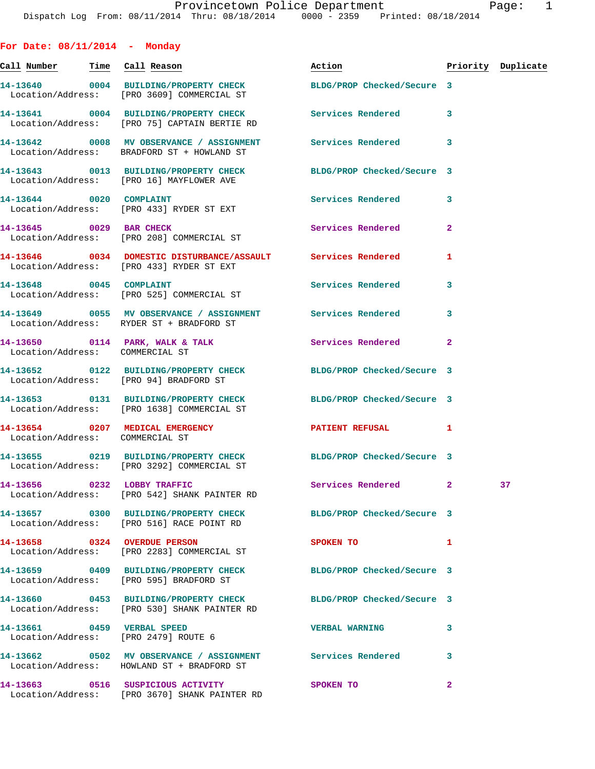**For Date: 08/11/2014 - Monday Call Number Time Call Reason Action Priority Duplicate 14-13640 0004 BUILDING/PROPERTY CHECK BLDG/PROP Checked/Secure 3**  Location/Address: [PRO 3609] COMMERCIAL ST **14-13641 0004 BUILDING/PROPERTY CHECK Services Rendered 3**  Location/Address: [PRO 75] CAPTAIN BERTIE RD **14-13642 0008 MV OBSERVANCE / ASSIGNMENT Services Rendered 3**  Location/Address: BRADFORD ST + HOWLAND ST **14-13643 0013 BUILDING/PROPERTY CHECK BLDG/PROP Checked/Secure 3**  Location/Address: [PRO 16] MAYFLOWER AVE **14-13644 0020 COMPLAINT Services Rendered 3**  Location/Address: [PRO 433] RYDER ST EXT **14-13645 0029 BAR CHECK Services Rendered 2**  Location/Address: [PRO 208] COMMERCIAL ST **14-13646 0034 DOMESTIC DISTURBANCE/ASSAULT Services Rendered 1**  Location/Address: [PRO 433] RYDER ST EXT **14-13648 0045 COMPLAINT Services Rendered 3**  Location/Address: [PRO 525] COMMERCIAL ST **14-13649 0055 MV OBSERVANCE / ASSIGNMENT Services Rendered 3**  Location/Address: RYDER ST + BRADFORD ST 14-13650 0114 PARK, WALK & TALK **Services Rendered** 2 Location/Address: COMMERCIAL ST **14-13652 0122 BUILDING/PROPERTY CHECK BLDG/PROP Checked/Secure 3**  Location/Address: [PRO 94] BRADFORD ST **14-13653 0131 BUILDING/PROPERTY CHECK BLDG/PROP Checked/Secure 3**  Location/Address: [PRO 1638] COMMERCIAL ST **14-13654 0207 MEDICAL EMERGENCY PATIENT REFUSAL 1**  Location/Address: COMMERCIAL ST **14-13655 0219 BUILDING/PROPERTY CHECK BLDG/PROP Checked/Secure 3**  Location/Address: [PRO 3292] COMMERCIAL ST **14-13656 0232 LOBBY TRAFFIC Services Rendered 2 37**  Location/Address: [PRO 542] SHANK PAINTER RD **14-13657 0300 BUILDING/PROPERTY CHECK BLDG/PROP Checked/Secure 3**  Location/Address: [PRO 516] RACE POINT RD **14-13658 0324 OVERDUE PERSON SPOKEN TO 1**  Location/Address: [PRO 2283] COMMERCIAL ST **14-13659 0409 BUILDING/PROPERTY CHECK BLDG/PROP Checked/Secure 3**  Location/Address: [PRO 595] BRADFORD ST **14-13660 0453 BUILDING/PROPERTY CHECK BLDG/PROP Checked/Secure 3**  Location/Address: [PRO 530] SHANK PAINTER RD **14-13661 0459 VERBAL SPEED VERBAL WARNING 3**  Location/Address: [PRO 2479] ROUTE 6 **14-13662 0502 MV OBSERVANCE / ASSIGNMENT Services Rendered 3**  Location/Address: HOWLAND ST + BRADFORD ST **14-13663 0516 SUSPICIOUS ACTIVITY SPOKEN TO 2** 

Location/Address: [PRO 3670] SHANK PAINTER RD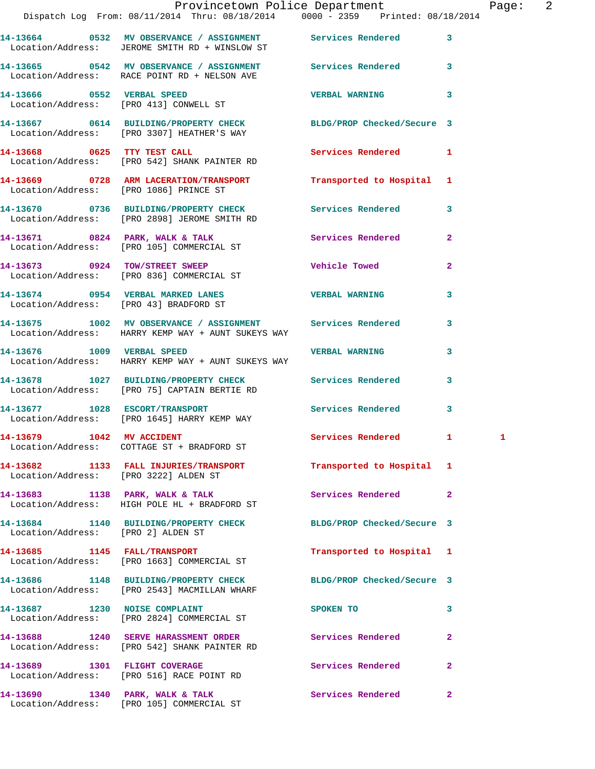|                                        | Provincetown Police Department Fage: 2<br>Dispatch Log From: 08/11/2014 Thru: 08/18/2014 0000 - 2359 Printed: 08/18/2014 |                            |                |  |
|----------------------------------------|--------------------------------------------------------------------------------------------------------------------------|----------------------------|----------------|--|
|                                        | 14-13664 0532 MV OBSERVANCE / ASSIGNMENT Services Rendered<br>Location/Address: JEROME SMITH RD + WINSLOW ST             |                            | $\mathbf{3}$   |  |
|                                        | 14-13665 0542 MV OBSERVANCE / ASSIGNMENT Services Rendered 3<br>Location/Address: RACE POINT RD + NELSON AVE             |                            |                |  |
|                                        |                                                                                                                          | <b>VERBAL WARNING</b>      | 3              |  |
|                                        | 14-13667 0614 BUILDING/PROPERTY CHECK BLDG/PROP Checked/Secure 3<br>Location/Address: [PRO 3307] HEATHER'S WAY           |                            |                |  |
|                                        | 14-13668 0625 TTY TEST CALL<br>Location/Address: [PRO 542] SHANK PAINTER RD                                              | Services Rendered 1        |                |  |
|                                        | 14-13669 0728 ARM LACERATION/TRANSPORT Transported to Hospital 1<br>Location/Address: [PRO 1086] PRINCE ST               |                            |                |  |
|                                        | 14-13670 0736 BUILDING/PROPERTY CHECK Services Rendered 3<br>Location/Address: [PRO 2898] JEROME SMITH RD                |                            |                |  |
|                                        | 14-13671 0824 PARK, WALK & TALK 1988 Services Rendered<br>Location/Address: [PRO 105] COMMERCIAL ST                      |                            | $\mathbf{2}$   |  |
|                                        | 14-13673 0924 TOW/STREET SWEEP<br>Location/Address: [PRO 836] COMMERCIAL ST                                              | Vehicle Towed              | $\overline{2}$ |  |
| Location/Address: [PRO 43] BRADFORD ST | 14-13674 0954 VERBAL MARKED LANES VERBAL WARNING                                                                         |                            | 3              |  |
|                                        | 14-13675 1002 MV OBSERVANCE / ASSIGNMENT Services Rendered<br>Location/Address: HARRY KEMP WAY + AUNT SUKEYS WAY         |                            | 3              |  |
|                                        | 14-13676 1009 VERBAL SPEED VERBAL WERBAL WARNING<br>Location/Address: HARRY KEMP WAY + AUNT SUKEYS WAY                   |                            | 3              |  |
|                                        | 14-13678 1027 BUILDING/PROPERTY CHECK Services Rendered 3<br>Location/Address: [PRO 75] CAPTAIN BERTIE RD                |                            |                |  |
|                                        | 14-13677 1028 ESCORT/TRANSPORT<br>Location/Address: [PRO 1645] HARRY KEMP WAY                                            | Services Rendered 3        |                |  |
|                                        | 14-13679 1042 MV ACCIDENT<br>Location/Address: COTTAGE ST + BRADFORD ST                                                  | Services Rendered 1        |                |  |
| Location/Address: [PRO 3222] ALDEN ST  | 14-13682 1133 FALL INJURIES/TRANSPORT Transported to Hospital 1                                                          |                            |                |  |
|                                        | 14-13683 1138 PARK, WALK & TALK<br>Location/Address: HIGH POLE HL + BRADFORD ST                                          | Services Rendered          | $\mathbf{2}$   |  |
| Location/Address: [PRO 2] ALDEN ST     | 14-13684 1140 BUILDING/PROPERTY CHECK BLDG/PROP Checked/Secure 3                                                         |                            |                |  |
|                                        | 14-13685 1145 FALL/TRANSPORT<br>Location/Address: [PRO 1663] COMMERCIAL ST                                               | Transported to Hospital 1  |                |  |
|                                        | 14-13686 1148 BUILDING/PROPERTY CHECK<br>Location/Address: [PRO 2543] MACMILLAN WHARF                                    | BLDG/PROP Checked/Secure 3 |                |  |
| 14-13687 1230 NOISE COMPLAINT          | Location/Address: [PRO 2824] COMMERCIAL ST                                                                               | SPOKEN TO                  | 3              |  |
|                                        | 14-13688 1240 SERVE HARASSMENT ORDER Services Rendered<br>Location/Address: [PRO 542] SHANK PAINTER RD                   |                            | 2              |  |
| 14-13689 1301 FLIGHT COVERAGE          | Location/Address: [PRO 516] RACE POINT RD                                                                                | Services Rendered          | $\overline{2}$ |  |
|                                        |                                                                                                                          |                            | $\mathbf{2}$   |  |

Location/Address: [PRO 105] COMMERCIAL ST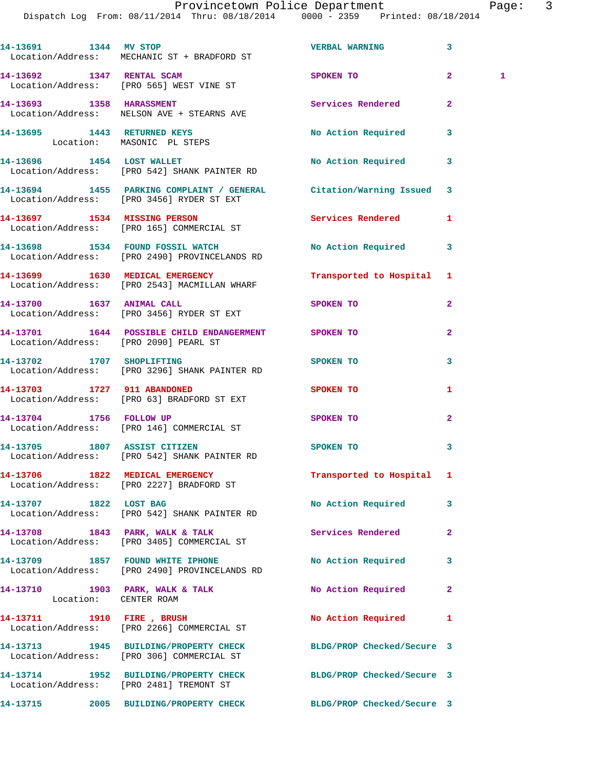Provincetown Police Department Fage: 3

Dispatch Log From: 08/11/2014 Thru: 08/18/2014 0000 - 2359 Printed: 08/18/2014

|      | raye |  |
|------|------|--|
| 71 A |      |  |

|                                                           | 14-13691 1344 MV STOP<br>Location/Address: MECHANIC ST + BRADFORD ST                                           | <b>VERBAL WARNING</b>      | 3              |              |
|-----------------------------------------------------------|----------------------------------------------------------------------------------------------------------------|----------------------------|----------------|--------------|
|                                                           | 14-13692 1347 RENTAL SCAM<br>Location/Address: [PRO 565] WEST VINE ST                                          | SPOKEN TO                  | 2 <sup>1</sup> | $\mathbf{1}$ |
|                                                           | 14-13693 1358 HARASSMENT<br>Location/Address: NELSON AVE + STEARNS AVE                                         | Services Rendered          | $\mathbf{2}$   |              |
| 14-13695 1443 RETURNED KEYS<br>Location: MASONIC PL STEPS |                                                                                                                | No Action Required         | 3              |              |
|                                                           | 14-13696 1454 LOST WALLET<br>Location/Address: [PRO 542] SHANK PAINTER RD                                      | <b>No Action Required</b>  | 3              |              |
|                                                           | 14-13694 1455 PARKING COMPLAINT / GENERAL Citation/Warning Issued<br>Location/Address: [PRO 3456] RYDER ST EXT |                            | 3              |              |
|                                                           | 14-13697 1534 MISSING PERSON<br>Location/Address: [PRO 165] COMMERCIAL ST                                      | <b>Services Rendered</b>   | 1              |              |
|                                                           | 14-13698 1534 FOUND FOSSIL WATCH<br>Location/Address: [PRO 2490] PROVINCELANDS RD                              | No Action Required         | 3              |              |
|                                                           | 14-13699 1630 MEDICAL EMERGENCY<br>Location/Address: [PRO 2543] MACMILLAN WHARF                                | Transported to Hospital 1  |                |              |
|                                                           | 14-13700 1637 ANIMAL CALL<br>Location/Address: [PRO 3456] RYDER ST EXT                                         | SPOKEN TO                  | $\mathbf{2}$   |              |
| Location/Address: [PRO 2090] PEARL ST                     | 14-13701 1644 POSSIBLE CHILD ENDANGERMENT SPOKEN TO                                                            |                            | $\overline{2}$ |              |
|                                                           | 14-13702 1707 SHOPLIFTING<br>Location/Address: [PRO 3296] SHANK PAINTER RD                                     | SPOKEN TO                  | 3              |              |
| 14-13703 1727 911 ABANDONED                               | Location/Address: [PRO 63] BRADFORD ST EXT                                                                     | SPOKEN TO                  | 1              |              |
|                                                           | 14-13704 1756 FOLLOW UP<br>Location/Address: [PRO 146] COMMERCIAL ST                                           | SPOKEN TO                  | $\overline{2}$ |              |
|                                                           | 14-13705 1807 ASSIST CITIZEN<br>Location/Address: [PRO 542] SHANK PAINTER RD                                   | <b>SPOKEN TO</b>           | 3              |              |
|                                                           | 14-13706 1822 MEDICAL EMERGENCY<br>Location/Address: [PRO 2227] BRADFORD ST                                    | Transported to Hospital 1  |                |              |
| 14-13707 1822 LOST BAG                                    | Location/Address: [PRO 542] SHANK PAINTER RD                                                                   | <b>No Action Required</b>  | 3              |              |
|                                                           | 14-13708 1843 PARK, WALK & TALK<br>Location/Address: [PRO 3405] COMMERCIAL ST                                  | Services Rendered          | $\overline{a}$ |              |
|                                                           | 14-13709 1857 FOUND WHITE IPHONE<br>Location/Address: [PRO 2490] PROVINCELANDS RD                              | <b>No Action Required</b>  | 3              |              |
| Location: CENTER ROAM                                     | 14-13710 1903 PARK, WALK & TALK                                                                                | No Action Required         | $\mathbf{2}$   |              |
|                                                           | 14-13711 1910 FIRE, BRUSH<br>Location/Address: [PRO 2266] COMMERCIAL ST                                        | No Action Required         | 1              |              |
|                                                           | 14-13713 1945 BUILDING/PROPERTY CHECK<br>Location/Address: [PRO 306] COMMERCIAL ST                             | BLDG/PROP Checked/Secure 3 |                |              |
|                                                           | 14-13714 1952 BUILDING/PROPERTY CHECK BLDG/PROP Checked/Secure 3<br>Location/Address: [PRO 2481] TREMONT ST    |                            |                |              |
|                                                           | 14-13715 2005 BUILDING/PROPERTY CHECK BLDG/PROP Checked/Secure 3                                               |                            |                |              |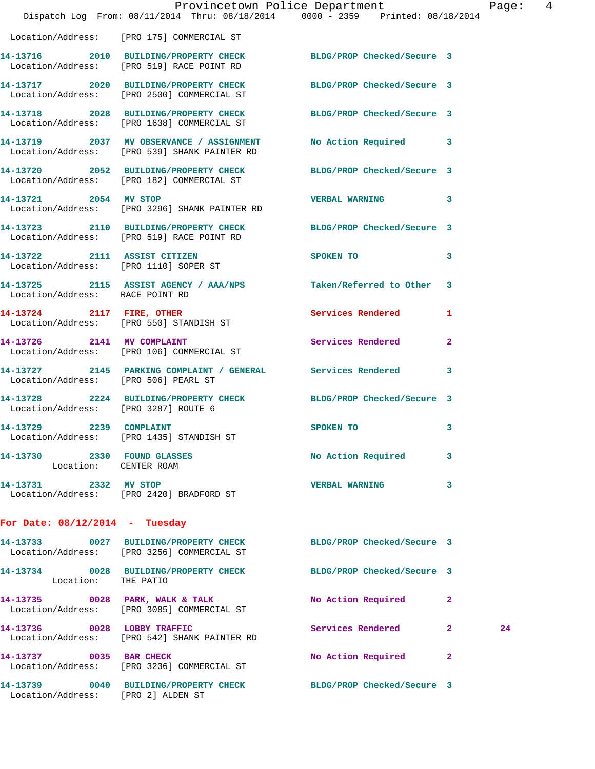|                                                      | Dispatch Log From: 08/11/2014 Thru: 08/18/2014 0000 - 2359 Printed: 08/18/2014                                 | Provincetown Police Department |              | Page: | $\overline{4}$ |
|------------------------------------------------------|----------------------------------------------------------------------------------------------------------------|--------------------------------|--------------|-------|----------------|
|                                                      | Location/Address: [PRO 175] COMMERCIAL ST                                                                      |                                |              |       |                |
|                                                      | 14-13716 2010 BUILDING/PROPERTY CHECK BLDG/PROP Checked/Secure 3 Location/Address: [PRO 519] RACE POINT RD     |                                |              |       |                |
|                                                      | 14-13717 2020 BUILDING/PROPERTY CHECK BLDG/PROP Checked/Secure 3<br>Location/Address: [PRO 2500] COMMERCIAL ST |                                |              |       |                |
|                                                      | 14-13718 2028 BUILDING/PROPERTY CHECK BLDG/PROP Checked/Secure 3<br>Location/Address: [PRO 1638] COMMERCIAL ST |                                |              |       |                |
|                                                      | 14-13719 2037 MV OBSERVANCE / ASSIGNMENT<br>Location/Address: [PRO 539] SHANK PAINTER RD                       | No Action Required 3           |              |       |                |
|                                                      | 14-13720 2052 BUILDING/PROPERTY CHECK BLDG/PROP Checked/Secure 3<br>Location/Address: [PRO 182] COMMERCIAL ST  |                                |              |       |                |
| 14-13721 2054 MV STOP                                | Location/Address: [PRO 3296] SHANK PAINTER RD                                                                  | <b>VERBAL WARNING</b>          | 3            |       |                |
|                                                      | 14-13723 2110 BUILDING/PROPERTY CHECK BLDG/PROP Checked/Secure 3<br>Location/Address: [PRO 519] RACE POINT RD  |                                |              |       |                |
| Location/Address: [PRO 1110] SOPER ST                | 14-13722 2111 ASSIST CITIZEN                                                                                   | SPOKEN TO                      | 3            |       |                |
| Location/Address: RACE POINT RD                      | 14-13725 2115 ASSIST AGENCY / AAA/NPS Taken/Referred to Other 3                                                |                                |              |       |                |
|                                                      | 14-13724 2117 FIRE, OTHER<br>Location/Address: [PRO 550] STANDISH ST                                           | Services Rendered              | 1            |       |                |
|                                                      | 14-13726 2141 MV COMPLAINT<br>Location/Address: [PRO 106] COMMERCIAL ST                                        | Services Rendered              | $\mathbf{2}$ |       |                |
| Location/Address: [PRO 506] PEARL ST                 | 14-13727 2145 PARKING COMPLAINT / GENERAL Services Rendered                                                    |                                | 3            |       |                |
| Location/Address: [PRO 3287] ROUTE 6                 | 14-13728 2224 BUILDING/PROPERTY CHECK BLDG/PROP Checked/Secure 3                                               |                                |              |       |                |
| 14-13729 2239 COMPLAINT                              | SPOKEN TO<br>Location/Address: [PRO 1435] STANDISH ST                                                          |                                | 3            |       |                |
| 14-13730 2330 FOUND GLASSES<br>Location: CENTER ROAM |                                                                                                                | No Action Required             | 3            |       |                |
| 14-13731 2332 MV STOP                                | Location/Address: [PRO 2420] BRADFORD ST                                                                       | <b>VERBAL WARNING</b>          | 3            |       |                |
| For Date: $08/12/2014$ - Tuesday                     |                                                                                                                |                                |              |       |                |
|                                                      | 14-13733 0027 BUILDING/PROPERTY CHECK<br>Location/Address: [PRO 3256] COMMERCIAL ST                            | BLDG/PROP Checked/Secure 3     |              |       |                |
| Location: THE PATIO                                  | 14-13734 0028 BUILDING/PROPERTY CHECK BLDG/PROP Checked/Secure 3                                               |                                |              |       |                |
|                                                      | 14-13735 0028 PARK, WALK & TALK<br>Location/Address: [PRO 3085] COMMERCIAL ST                                  | No Action Required             | 2            |       |                |
| 14-13736 0028 LOBBY TRAFFIC                          | Location/Address: [PRO 542] SHANK PAINTER RD                                                                   | Services Rendered              | $\mathbf{2}$ | 24    |                |
|                                                      | 14-13737 0035 BAR CHECK<br>Location/Address: [PRO 3236] COMMERCIAL ST                                          | No Action Required 2           |              |       |                |
| Location/Address: [PRO 2] ALDEN ST                   | 14-13739 0040 BUILDING/PROPERTY CHECK BLDG/PROP Checked/Secure 3                                               |                                |              |       |                |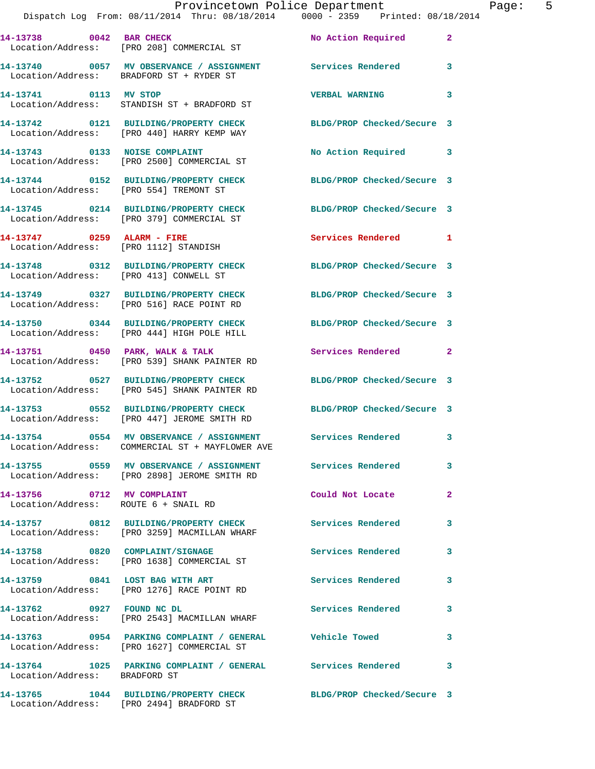**14-13741 0113 MV STOP VERBAL WARNING 3**  Location/Address: STANDISH ST + BRADFORD ST

Location/Address: BRADFORD ST + RYDER ST

Location/Address: [PRO 554] TREMONT ST

Location/Address: [PRO 379] COMMERCIAL ST

Location/Address: [PRO 1112] STANDISH

**14-13748 0312 BUILDING/PROPERTY CHECK BLDG/PROP Checked/Secure 3** 

Location/Address: [PRO 516] RACE POINT RD

**14-13756 0712 MV COMPLAINT Could Not Locate 2**  Location/Address: ROUTE 6 + SNAIL RD

Location/Address: [PRO 3259] MACMILLAN WHARF

Location/Address: [PRO 1276] RACE POINT RD

**14-13742 0121 BUILDING/PROPERTY CHECK BLDG/PROP Checked/Secure 3**  Location/Address: [PRO 440] HARRY KEMP WAY

14-13743 0133 NOISE COMPLAINT **No Action Required** 3 Location/Address: [PRO 2500] COMMERCIAL ST

**14-13744 0152 BUILDING/PROPERTY CHECK BLDG/PROP Checked/Secure 3** 

**14-13745 0214 BUILDING/PROPERTY CHECK BLDG/PROP Checked/Secure 3** 

**14-13747 0259 ALARM - FIRE Services Rendered 1** 

Location/Address: [PRO 413] CONWELL ST

**14-13750 0344 BUILDING/PROPERTY CHECK BLDG/PROP Checked/Secure 3**  Location/Address: [PRO 444] HIGH POLE HILL

Location/Address: [PRO 539] SHANK PAINTER RD

**14-13752 0527 BUILDING/PROPERTY CHECK BLDG/PROP Checked/Secure 3**  Location/Address: [PRO 545] SHANK PAINTER RD

**14-13753 0552 BUILDING/PROPERTY CHECK BLDG/PROP Checked/Secure 3**  Location/Address: [PRO 447] JEROME SMITH RD

**14-13754 0554 MV OBSERVANCE / ASSIGNMENT Services Rendered 3**  Location/Address: COMMERCIAL ST + MAYFLOWER AVE

**14-13755 0559 MV OBSERVANCE / ASSIGNMENT Services Rendered 3**  Location/Address: [PRO 2898] JEROME SMITH RD

**14-13757 0812 BUILDING/PROPERTY CHECK Services Rendered 3** 

**14-13758 0820 COMPLAINT/SIGNAGE Services Rendered 3**  Location/Address: [PRO 1638] COMMERCIAL ST

Location/Address: [PRO 2543] MACMILLAN WHARF

Location/Address: [PRO 1627] COMMERCIAL ST

**14-13764 1025 PARKING COMPLAINT / GENERAL Services Rendered 3**  Location/Address: BRADFORD ST

**14-13765 1044 BUILDING/PROPERTY CHECK BLDG/PROP Checked/Secure 3**  Location/Address: [PRO 2494] BRADFORD ST

**14-13749 0327 BUILDING/PROPERTY CHECK BLDG/PROP Checked/Secure 3** 

**14-13751 0450 PARK, WALK & TALK Services Rendered 2** 

**14-13759 0841 LOST BAG WITH ART Services Rendered 3** 

**14-13762 0927 FOUND NC DL Services Rendered 3** 

**14-13763 0954 PARKING COMPLAINT / GENERAL Vehicle Towed 3**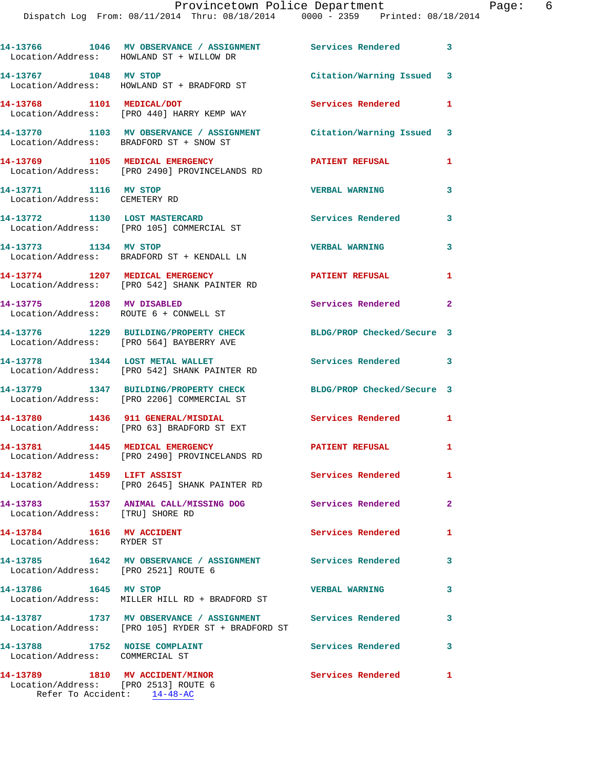|                                                                         | 14-13766 1046 MV OBSERVANCE / ASSIGNMENT Services Rendered 3<br>Location/Address: HOWLAND ST + WILLOW DR         |                            |                            |
|-------------------------------------------------------------------------|------------------------------------------------------------------------------------------------------------------|----------------------------|----------------------------|
| 14-13767 1048 MV STOP                                                   | Location/Address: HOWLAND ST + BRADFORD ST                                                                       | Citation/Warning Issued 3  |                            |
| 14-13768 1101 MEDICAL/DOT                                               | Location/Address: [PRO 440] HARRY KEMP WAY                                                                       | Services Rendered          | $\mathbf{1}$               |
| Location/Address: BRADFORD ST + SNOW ST                                 | 14-13770 1103 MV OBSERVANCE / ASSIGNMENT Citation/Warning Issued                                                 |                            | 3                          |
|                                                                         | 14-13769 1105 MEDICAL EMERGENCY<br>Location/Address: [PRO 2490] PROVINCELANDS RD                                 | <b>PATIENT REFUSAL</b>     | 1                          |
| 14-13771 1116 MV STOP<br>Location/Address: CEMETERY RD                  |                                                                                                                  | <b>VERBAL WARNING</b>      | 3                          |
|                                                                         | 14-13772 1130 LOST MASTERCARD<br>Location/Address: [PRO 105] COMMERCIAL ST                                       | Services Rendered          | $\mathbf{3}$               |
|                                                                         | 14-13773 1134 MV STOP<br>Location/Address: BRADFORD ST + KENDALL LN                                              | <b>VERBAL WARNING</b>      | 3                          |
| 14-13774 1207 MEDICAL EMERGENCY                                         | Location/Address: [PRO 542] SHANK PAINTER RD                                                                     | <b>PATIENT REFUSAL</b>     | 1                          |
| 14-13775 1208 MV DISABLED<br>Location/Address: ROUTE 6 + CONWELL ST     |                                                                                                                  | Services Rendered          | $\overline{\phantom{0}}$ 2 |
|                                                                         | 14-13776 1229 BUILDING/PROPERTY CHECK<br>Location/Address: [PRO 564] BAYBERRY AVE                                | BLDG/PROP Checked/Secure 3 |                            |
|                                                                         | 14-13778 1344 LOST METAL WALLET<br>Location/Address: [PRO 542] SHANK PAINTER RD                                  | <b>Services Rendered</b>   | $\overline{\phantom{a}}$ 3 |
|                                                                         | 14-13779 1347 BUILDING/PROPERTY CHECK<br>Location/Address: [PRO 2206] COMMERCIAL ST                              | BLDG/PROP Checked/Secure 3 |                            |
|                                                                         | 14-13780 1436 911 GENERAL/MISDIAL<br>Location/Address: [PRO 63] BRADFORD ST EXT                                  | <b>Services Rendered</b> 1 |                            |
|                                                                         | 14-13781 1445 MEDICAL EMERGENCY<br>Location/Address: [PRO 2490] PROVINCELANDS RD                                 | <b>PATIENT REFUSAL</b>     | 1                          |
| 14-13782 1459 LIFT ASSIST                                               | Location/Address: [PRO 2645] SHANK PAINTER RD                                                                    | Services Rendered          | 1.                         |
| Location/Address: [TRU] SHORE RD                                        | 14-13783 1537 ANIMAL CALL/MISSING DOG Services Rendered 2                                                        |                            |                            |
| 14-13784 1616 MV ACCIDENT<br>Location/Address: RYDER ST                 |                                                                                                                  | Services Rendered          | $\mathbf{1}$               |
|                                                                         | 14-13785 1642 MV OBSERVANCE / ASSIGNMENT Services Rendered 3<br>Location/Address: [PRO 2521] ROUTE 6             |                            |                            |
| 14-13786 1645 MV STOP                                                   | Location/Address: MILLER HILL RD + BRADFORD ST                                                                   | <b>VERBAL WARNING</b>      | 3                          |
|                                                                         | 14-13787 1737 MV OBSERVANCE / ASSIGNMENT Services Rendered<br>Location/Address: [PRO 105] RYDER ST + BRADFORD ST |                            | $\mathbf{3}$               |
| 14-13788 1752 NOISE COMPLAINT<br>Location/Address: COMMERCIAL ST        |                                                                                                                  | <b>Services Rendered</b>   | $\overline{\phantom{a}}$ 3 |
| 14-13789 1810 MV ACCIDENT/MINOR<br>Location/Address: [PRO 2513] ROUTE 6 | Refer To Accident: 14-48-AC                                                                                      | Services Rendered          | $\mathbf{1}$               |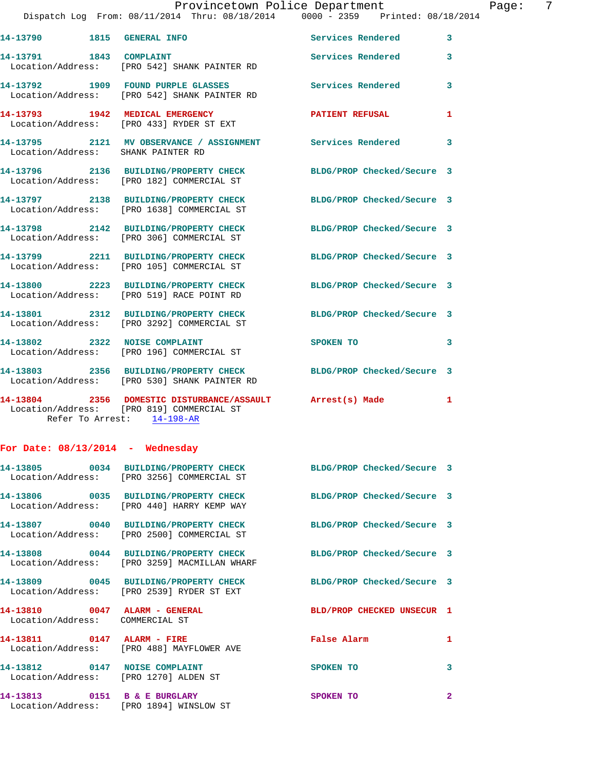|                                    |                                                                                                                                      | Provincetown Police Department | Page: 7                 |
|------------------------------------|--------------------------------------------------------------------------------------------------------------------------------------|--------------------------------|-------------------------|
|                                    | Dispatch Log From: 08/11/2014 Thru: 08/18/2014   0000 - 2359   Printed: 08/18/2014                                                   |                                |                         |
|                                    |                                                                                                                                      |                                | 3                       |
|                                    | 14-13791 1843 COMPLAINT<br>Location/Address: [PRO 542] SHANK PAINTER RD                                                              | <b>Services Rendered</b>       | $\overline{\mathbf{3}}$ |
|                                    | 14-13792 1909 FOUND PURPLE GLASSES Services Rendered<br>Location/Address: [PRO 542] SHANK PAINTER RD                                 |                                | 3                       |
|                                    |                                                                                                                                      | PATIENT REFUSAL                | 1                       |
| Location/Address: SHANK PAINTER RD | 14-13795 2121 MV OBSERVANCE / ASSIGNMENT Services Rendered 3                                                                         |                                |                         |
|                                    | 14-13796 2136 BUILDING/PROPERTY CHECK BLDG/PROP Checked/Secure 3<br>Location/Address: [PRO 182] COMMERCIAL ST                        |                                |                         |
|                                    | 14-13797 2138 BUILDING/PROPERTY CHECK BLDG/PROP Checked/Secure 3<br>Location/Address: [PRO 1638] COMMERCIAL ST                       |                                |                         |
|                                    | 14-13798 2142 BUILDING/PROPERTY CHECK BLDG/PROP Checked/Secure 3<br>Location/Address: [PRO 306] COMMERCIAL ST                        |                                |                         |
|                                    | 14-13799 2211 BUILDING/PROPERTY CHECK BLDG/PROP Checked/Secure 3<br>Location/Address: [PRO 105] COMMERCIAL ST                        |                                |                         |
|                                    | 14-13800 2223 BUILDING/PROPERTY CHECK BLDG/PROP Checked/Secure 3<br>Location/Address: [PRO 519] RACE POINT RD                        |                                |                         |
|                                    | 14-13801 2312 BUILDING/PROPERTY CHECK BLDG/PROP Checked/Secure 3<br>Location/Address: [PRO 3292] COMMERCIAL ST                       |                                |                         |
|                                    | 14-13802 2322 NOISE COMPLAINT<br>Location/Address: [PRO 196] COMMERCIAL ST                                                           | SPOKEN TO                      | 3                       |
|                                    | 14-13803 2356 BUILDING/PROPERTY CHECK BLDG/PROP Checked/Secure 3<br>Location/Address: [PRO 530] SHANK PAINTER RD                     |                                |                         |
|                                    | 14-13804 2356 DOMESTIC DISTURBANCE/ASSAULT Arrest(s) Made<br>Location/Address: [PRO 819] COMMERCIAL ST<br>Refer To Arrest: 14-198-AR |                                | 1                       |

Location/Address: [PRO 1894] WINSLOW ST

## **For Date: 08/13/2014 - Wednesday**

|                                                                        | 14-13805 0034 BUILDING/PROPERTY CHECK BLDG/PROP Checked/Secure 3<br>Location/Address: [PRO 3256] COMMERCIAL ST            |                            |                         |
|------------------------------------------------------------------------|---------------------------------------------------------------------------------------------------------------------------|----------------------------|-------------------------|
|                                                                        | 14-13806      0035 BUILDING/PROPERTY CHECK       BLDG/PROP Checked/Secure 3<br>Location/Address: [PRO 440] HARRY KEMP WAY |                            |                         |
|                                                                        | 14-13807 0040 BUILDING/PROPERTY CHECK<br>Location/Address: [PRO 2500] COMMERCIAL ST                                       | BLDG/PROP Checked/Secure 3 |                         |
|                                                                        | 14-13808 0044 BUILDING/PROPERTY CHECK BLDG/PROP Checked/Secure 3<br>Location/Address: [PRO 3259] MACMILLAN WHARF          |                            |                         |
|                                                                        | 14-13809 0045 BUILDING/PROPERTY CHECK BLDG/PROP Checked/Secure 3<br>Location/Address: [PRO 2539] RYDER ST EXT             |                            |                         |
| 14-13810 0047 ALARM - GENERAL<br>Location/Address: COMMERCIAL ST       |                                                                                                                           | BLD/PROP CHECKED UNSECUR 1 |                         |
| 14-13811 0147 ALARM - FIRE                                             | Location/Address: [PRO 488] MAYFLOWER AVE                                                                                 | <b>Ealse Alarm</b>         | $\mathbf{1}$            |
| 14-13812 0147 NOISE COMPLAINT<br>Location/Address: [PRO 1270] ALDEN ST |                                                                                                                           | SPOKEN TO                  | $\overline{\mathbf{3}}$ |
| 14-13813 0151 B & E BURGLARY                                           |                                                                                                                           | SPOKEN TO                  | $\overline{2}$          |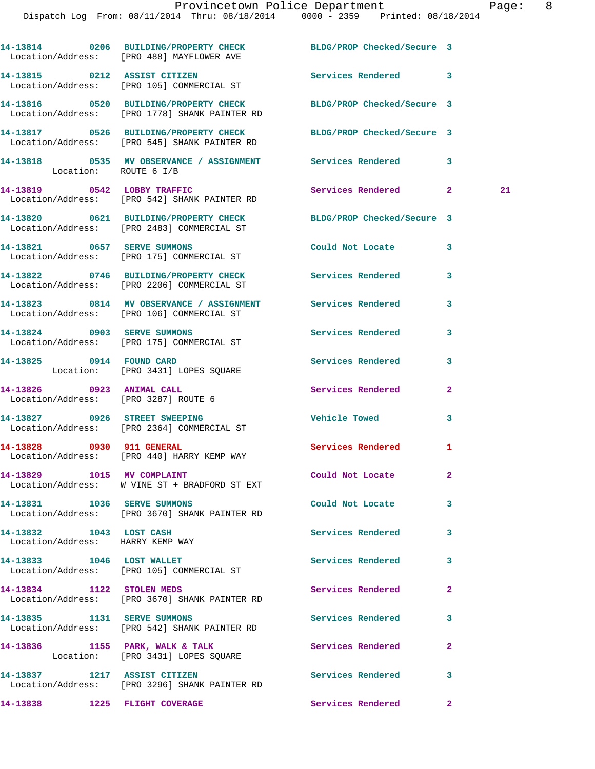|                                                             | 14-13814 0206 BUILDING/PROPERTY CHECK BLDG/PROP Checked/Secure 3<br>Location/Address: [PRO 488] MAYFLOWER AVE    |                            |              |    |
|-------------------------------------------------------------|------------------------------------------------------------------------------------------------------------------|----------------------------|--------------|----|
|                                                             | 14-13815 0212 ASSIST CITIZEN<br>Location/Address: [PRO 105] COMMERCIAL ST                                        | Services Rendered 3        |              |    |
|                                                             | 14-13816 0520 BUILDING/PROPERTY CHECK<br>Location/Address: [PRO 1778] SHANK PAINTER RD                           | BLDG/PROP Checked/Secure 3 |              |    |
|                                                             | 14-13817 0526 BUILDING/PROPERTY CHECK BLDG/PROP Checked/Secure 3<br>Location/Address: [PRO 545] SHANK PAINTER RD |                            |              |    |
| Location: ROUTE 6 I/B                                       | 14-13818 0535 MV OBSERVANCE / ASSIGNMENT Services Rendered 3                                                     |                            |              |    |
|                                                             | 14-13819 0542 LOBBY TRAFFIC<br>Location/Address: [PRO 542] SHANK PAINTER RD                                      | Services Rendered 2        |              | 21 |
|                                                             | 14-13820 0621 BUILDING/PROPERTY CHECK<br>Location/Address: [PRO 2483] COMMERCIAL ST                              | BLDG/PROP Checked/Secure 3 |              |    |
|                                                             | 14-13821 0657 SERVE SUMMONS<br>Location/Address: [PRO 175] COMMERCIAL ST                                         | Could Not Locate           | 3            |    |
|                                                             | 14-13822 0746 BUILDING/PROPERTY CHECK Services Rendered<br>Location/Address: [PRO 2206] COMMERCIAL ST            |                            | 3            |    |
|                                                             | 14-13823 0814 MV OBSERVANCE / ASSIGNMENT Services Rendered<br>Location/Address: [PRO 106] COMMERCIAL ST          |                            | 3            |    |
|                                                             | 14-13824 0903 SERVE SUMMONS<br>Location/Address: [PRO 175] COMMERCIAL ST                                         | Services Rendered          | 3            |    |
|                                                             | 14-13825 0914 FOUND CARD<br>Location: [PRO 3431] LOPES SQUARE                                                    | Services Rendered          | 3            |    |
| 14-13826 0923 ANIMAL CALL                                   | Location/Address: [PRO 3287] ROUTE 6                                                                             | Services Rendered          | $\mathbf{2}$ |    |
|                                                             | 14-13827 0926 STREET SWEEPING<br>Location/Address: [PRO 2364] COMMERCIAL ST                                      | <b>Vehicle Towed</b>       | 3            |    |
| 14-13828 0930 911 GENERAL                                   | Location/Address: [PRO 440] HARRY KEMP WAY                                                                       | <b>Services Rendered</b>   | 1            |    |
| 14-13829 1015 MV COMPLAINT                                  | Location/Address: W VINE ST + BRADFORD ST EXT                                                                    | Could Not Locate           | $\mathbf{2}$ |    |
| 14-13831 1036 SERVE SUMMONS                                 | Location/Address: [PRO 3670] SHANK PAINTER RD                                                                    | Could Not Locate           | 3            |    |
| 14-13832 1043 LOST CASH<br>Location/Address: HARRY KEMP WAY |                                                                                                                  | <b>Services Rendered</b>   | 3            |    |
| 14-13833 1046 LOST WALLET                                   | Location/Address: [PRO 105] COMMERCIAL ST                                                                        | Services Rendered          | 3            |    |
| 14-13834 1122 STOLEN MEDS                                   | Location/Address: [PRO 3670] SHANK PAINTER RD                                                                    | Services Rendered          | $\mathbf{2}$ |    |
| 14-13835 1131 SERVE SUMMONS                                 | Location/Address: [PRO 542] SHANK PAINTER RD                                                                     | Services Rendered          | 3            |    |
|                                                             | 14-13836 1155 PARK, WALK & TALK<br>Location: [PRO 3431] LOPES SQUARE                                             | Services Rendered          | $\mathbf{2}$ |    |
| 14-13837 1217 ASSIST CITIZEN                                | Location/Address: [PRO 3296] SHANK PAINTER RD                                                                    | Services Rendered          | 3            |    |
| 14-13838 1225 FLIGHT COVERAGE                               |                                                                                                                  | Services Rendered          | $\mathbf{2}$ |    |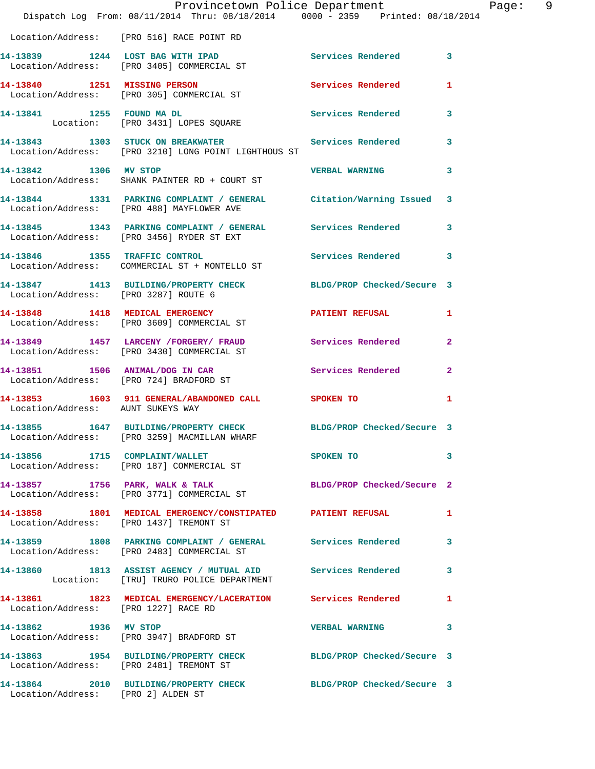|                                      | Provincetown Police Department<br>Dispatch Log From: 08/11/2014 Thru: 08/18/2014 0000 - 2359 Printed: 08/18/2014 |                            | Page: 9      |
|--------------------------------------|------------------------------------------------------------------------------------------------------------------|----------------------------|--------------|
|                                      | Location/Address: [PRO 516] RACE POINT RD                                                                        |                            |              |
|                                      | 14-13839 1244 LOST BAG WITH IPAD Services Rendered 3<br>Location/Address: [PRO 3405] COMMERCIAL ST               |                            |              |
|                                      | 14-13840 1251 MISSING PERSON<br>Location/Address: [PRO 305] COMMERCIAL ST                                        | Services Rendered          | 1            |
|                                      | 14-13841 1255 FOUND MADL Services Rendered 3<br>Location: [PRO 3431] LOPES SQUARE                                |                            |              |
|                                      | 14-13843 1303 STUCK ON BREAKWATER Services Rendered 3<br>Location/Address: [PRO 3210] LONG POINT LIGHTHOUS ST    |                            |              |
| 14-13842 1306 MV STOP                | Location/Address: SHANK PAINTER RD + COURT ST                                                                    | <b>VERBAL WARNING</b> 3    |              |
|                                      | 14-13844 1331 PARKING COMPLAINT / GENERAL Citation/Warning Issued 3<br>Location/Address: [PRO 488] MAYFLOWER AVE |                            |              |
|                                      | 14-13845 1343 PARKING COMPLAINT / GENERAL Services Rendered 3<br>Location/Address: [PRO 3456] RYDER ST EXT       |                            |              |
|                                      | 14-13846 1355 TRAFFIC CONTROL<br>Location/Address: COMMERCIAL ST + MONTELLO ST                                   | Services Rendered 3        |              |
| Location/Address: [PRO 3287] ROUTE 6 | 14-13847 1413 BUILDING/PROPERTY CHECK BLDG/PROP Checked/Secure 3                                                 |                            |              |
|                                      | 14-13848 1418 MEDICAL EMERGENCY PATIENT REFUSAL 1<br>Location/Address: [PRO 3609] COMMERCIAL ST                  |                            |              |
|                                      | 14-13849 1457 LARCENY /FORGERY / FRAUD Services Rendered 2<br>Location/Address: [PRO 3430] COMMERCIAL ST         |                            |              |
|                                      | 14-13851 1506 ANIMAL/DOG IN CAR Services Rendered 2<br>Location/Address: [PRO 724] BRADFORD ST                   |                            |              |
| Location/Address: AUNT SUKEYS WAY    | 14-13853 1603 911 GENERAL/ABANDONED CALL SPOKEN TO                                                               |                            | 1            |
|                                      | 14-13855 1647 BUILDING/PROPERTY CHECK BLDG/PROP Checked/Secure 3<br>Location/Address: [PRO 3259] MACMILLAN WHARF |                            |              |
|                                      | 14-13856 1715 COMPLAINT/WALLET<br>Location/Address: [PRO 187] COMMERCIAL ST                                      | SPOKEN TO                  | $\mathbf{3}$ |
|                                      | 14-13857 1756 PARK, WALK & TALK<br>Location/Address: [PRO 3771] COMMERCIAL ST                                    | BLDG/PROP Checked/Secure 2 |              |
|                                      | 14-13858 1801 MEDICAL EMERGENCY/CONSTIPATED PATIENT REFUSAL<br>Location/Address: [PRO 1437] TREMONT ST           |                            | 1            |
|                                      | 14-13859 1808 PARKING COMPLAINT / GENERAL Services Rendered 3<br>Location/Address: [PRO 2483] COMMERCIAL ST      |                            |              |
|                                      | 14-13860 1813 ASSIST AGENCY / MUTUAL AID Services Rendered 3<br>Location: [TRU] TRURO POLICE DEPARTMENT          |                            |              |
| Location/Address: [PRO 1227] RACE RD | 14-13861 1823 MEDICAL EMERGENCY/LACERATION Services Rendered 1                                                   |                            |              |
|                                      | 14-13862 1936 MV STOP<br>Location/Address: [PRO 3947] BRADFORD ST                                                | VERBAL WARNING 3           |              |
|                                      | 14-13863 1954 BUILDING/PROPERTY CHECK BLDG/PROP Checked/Secure 3<br>Location/Address: [PRO 2481] TREMONT ST      |                            |              |
| Location/Address: [PRO 2] ALDEN ST   | 14-13864 2010 BUILDING/PROPERTY CHECK BLDG/PROP Checked/Secure 3                                                 |                            |              |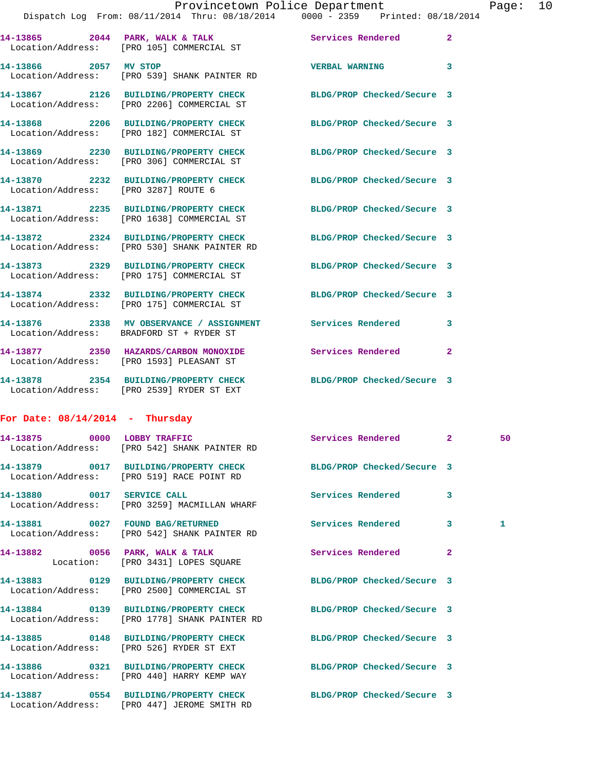| Provincetown Police Department                 |  |  |  |  | Page: $10$                      |  |  |  |  |
|------------------------------------------------|--|--|--|--|---------------------------------|--|--|--|--|
| Dispatch Log From: 08/11/2014 Thru: 08/18/2014 |  |  |  |  | 0000 - 2359 Printed: 08/18/2014 |  |  |  |  |

|                       | 14-13865 2044 PARK, WALK & TALK<br>Location/Address: [PRO 105] COMMERCIAL ST          | Services Rendered          | $\overline{2}$ |
|-----------------------|---------------------------------------------------------------------------------------|----------------------------|----------------|
| 14-13866 2057 MV STOP | Location/Address: [PRO 539] SHANK PAINTER RD                                          | <b>VERBAL WARNING</b>      | $\overline{3}$ |
|                       | 14-13867 2126 BUILDING/PROPERTY CHECK<br>Location/Address: [PRO 2206] COMMERCIAL ST   | BLDG/PROP Checked/Secure 3 |                |
| Location/Address:     | 14-13868 2206 BUILDING/PROPERTY CHECK<br>[PRO 182] COMMERCIAL ST                      | BLDG/PROP Checked/Secure 3 |                |
| Location/Address:     | 14-13869 2230 BUILDING/PROPERTY CHECK<br>[PRO 306] COMMERCIAL ST                      | BLDG/PROP Checked/Secure 3 |                |
| Location/Address:     | 14-13870 2232 BUILDING/PROPERTY CHECK<br>FRO 32871 ROUTE 6                            | BLDG/PROP Checked/Secure 3 |                |
|                       | 14-13871 2235 BUILDING/PROPERTY CHECK<br>Location/Address: [PRO 1638] COMMERCIAL ST   | BLDG/PROP Checked/Secure 3 |                |
|                       | 14-13872 2324 BUILDING/PROPERTY CHECK<br>Location/Address: [PRO 530] SHANK PAINTER RD | BLDG/PROP Checked/Secure 3 |                |
|                       | 14-13873 2329 BUILDING/PROPERTY CHECK<br>Location/Address: [PRO 175] COMMERCIAL ST    | BLDG/PROP Checked/Secure 3 |                |
|                       | 14-13874 2332 BUILDING/PROPERTY CHECK<br>Location/Address: [PRO 175] COMMERCIAL ST    | BLDG/PROP Checked/Secure 3 |                |
|                       | 14-13876 2338 MV OBSERVANCE / ASSIGNMENT<br>Location/Address: BRADFORD ST + RYDER ST  | <b>Services Rendered</b>   | 3              |
|                       | 14-13877 2350 HAZARDS/CARBON MONOXIDE<br>Location/Address: [PRO 1593] PLEASANT ST     | Services Rendered          | $\mathbf{2}$   |
| 14-13878              | 2354 BUILDING/PROPERTY CHECK                                                          | BLDG/PROP Checked/Secure 3 |                |

## **For Date: 08/14/2014 - Thursday**

Location/Address: [PRO 2539] RYDER ST EXT

| 14-13875 0000 LOBBY TRAFFIC<br>Location/Address: [PRO 542] SHANK PAINTER RD                                       | Services Rendered 2 |                         | 50           |
|-------------------------------------------------------------------------------------------------------------------|---------------------|-------------------------|--------------|
| 14-13879 0017 BUILDING/PROPERTY CHECK BLDG/PROP Checked/Secure 3<br>Location/Address: [PRO 519] RACE POINT RD     |                     |                         |              |
| 14-13880 0017 SERVICE CALL South Services Rendered<br>Location/Address: [PRO 3259] MACMILLAN WHARF                |                     | $\overline{\mathbf{3}}$ |              |
| 14-13881 0027 FOUND BAG/RETURNED Services Rendered<br>Location/Address: [PRO 542] SHANK PAINTER RD                |                     | $\overline{3}$          | $\mathbf{1}$ |
| 14-13882 0056 PARK, WALK & TALK 2008 Services Rendered<br>Location: [PRO 3431] LOPES SOUARE                       |                     | $\overline{2}$          |              |
| 14-13883 0129 BUILDING/PROPERTY CHECK BLDG/PROP Checked/Secure 3<br>Location/Address: [PRO 2500] COMMERCIAL ST    |                     |                         |              |
| 14-13884 0139 BUILDING/PROPERTY CHECK BLDG/PROP Checked/Secure 3<br>Location/Address: [PRO 1778] SHANK PAINTER RD |                     |                         |              |
| 14-13885 0148 BUILDING/PROPERTY CHECK BLDG/PROP Checked/Secure 3<br>Location/Address: [PRO 526] RYDER ST EXT      |                     |                         |              |
| 14-13886 0321 BUILDING/PROPERTY CHECK BLDG/PROP Checked/Secure 3<br>Location/Address: [PRO 440] HARRY KEMP WAY    |                     |                         |              |
| 14-13887 0554 BUILDING/PROPERTY CHECK BLDG/PROP Checked/Secure 3<br>Location/Address: [PRO 447] JEROME SMITH RD   |                     |                         |              |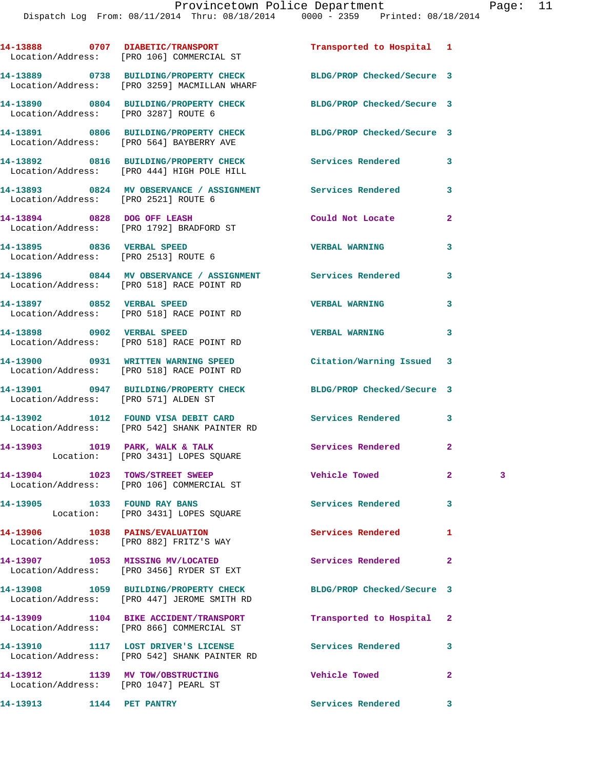|                                                                           | 14-13888 0707 DIABETIC/TRANSPORT<br>Location/Address: [PRO 106] COMMERCIAL ST                                    | Transported to Hospital 1  |                |   |
|---------------------------------------------------------------------------|------------------------------------------------------------------------------------------------------------------|----------------------------|----------------|---|
|                                                                           | 14-13889 0738 BUILDING/PROPERTY CHECK BLDG/PROP Checked/Secure 3<br>Location/Address: [PRO 3259] MACMILLAN WHARF |                            |                |   |
| Location/Address: [PRO 3287] ROUTE 6                                      | 14-13890 0804 BUILDING/PROPERTY CHECK BLDG/PROP Checked/Secure 3                                                 |                            |                |   |
|                                                                           | 14-13891 0806 BUILDING/PROPERTY CHECK BLDG/PROP Checked/Secure 3<br>Location/Address: [PRO 564] BAYBERRY AVE     |                            |                |   |
|                                                                           | 14-13892 0816 BUILDING/PROPERTY CHECK Services Rendered<br>Location/Address: [PRO 444] HIGH POLE HILL            |                            | 3              |   |
| Location/Address: [PRO 2521] ROUTE 6                                      | 14-13893 0824 MV OBSERVANCE / ASSIGNMENT Services Rendered                                                       |                            | 3              |   |
|                                                                           | 14-13894 0828 DOG OFF LEASH<br>Location/Address: [PRO 1792] BRADFORD ST                                          | Could Not Locate           | $\overline{a}$ |   |
| 14-13895 0836 VERBAL SPEED<br>Location/Address: [PRO 2513] ROUTE 6        |                                                                                                                  | <b>VERBAL WARNING</b>      | 3              |   |
|                                                                           | 14-13896 0844 MV OBSERVANCE / ASSIGNMENT Services Rendered<br>Location/Address: [PRO 518] RACE POINT RD          |                            | 3              |   |
|                                                                           | 14-13897 0852 VERBAL SPEED<br>Location/Address: [PRO 518] RACE POINT RD                                          | <b>VERBAL WARNING</b>      | 3              |   |
|                                                                           | 14-13898 0902 VERBAL SPEED<br>Location/Address: [PRO 518] RACE POINT RD                                          | <b>VERBAL WARNING</b>      | 3              |   |
|                                                                           | 14-13900 0931 WRITTEN WARNING SPEED<br>Location/Address: [PRO 518] RACE POINT RD                                 | Citation/Warning Issued 3  |                |   |
| Location/Address: [PRO 571] ALDEN ST                                      | 14-13901 0947 BUILDING/PROPERTY CHECK BLDG/PROP Checked/Secure 3                                                 |                            |                |   |
|                                                                           | 14-13902 1012 FOUND VISA DEBIT CARD Services Rendered<br>Location/Address: [PRO 542] SHANK PAINTER RD            |                            | 3              |   |
|                                                                           | 14-13903 1019 PARK, WALK & TALK 1998 Services Rendered<br>Location: [PRO 3431] LOPES SQUARE                      |                            | $\mathbf{2}$   |   |
|                                                                           | 14-13904 1023 TOWS/STREET SWEEP<br>Location/Address: [PRO 106] COMMERCIAL ST                                     | Vehicle Towed              | 2.             | 3 |
| 14-13905 1033 FOUND RAY BANS                                              | Location: [PRO 3431] LOPES SQUARE                                                                                | <b>Services Rendered</b>   | 3              |   |
|                                                                           | 14-13906 1038 PAINS/EVALUATION<br>Location/Address: [PRO 882] FRITZ'S WAY                                        | Services Rendered          | 1              |   |
|                                                                           | 14-13907 1053 MISSING MV/LOCATED<br>Location/Address: [PRO 3456] RYDER ST EXT                                    | Services Rendered          | $\mathbf{2}$   |   |
|                                                                           | 14-13908 1059 BUILDING/PROPERTY CHECK<br>Location/Address: [PRO 447] JEROME SMITH RD                             | BLDG/PROP Checked/Secure 3 |                |   |
|                                                                           | 14-13909 1104 BIKE ACCIDENT/TRANSPORT<br>Location/Address: [PRO 866] COMMERCIAL ST                               | Transported to Hospital    | 2              |   |
|                                                                           | 14-13910 1117 LOST DRIVER'S LICENSE<br>Location/Address: [PRO 542] SHANK PAINTER RD                              | Services Rendered          | 3              |   |
| 14-13912 1139 MV TOW/OBSTRUCTING<br>Location/Address: [PRO 1047] PEARL ST |                                                                                                                  | Vehicle Towed              | $\mathbf{2}$   |   |

**14-13913 1144 PET PANTRY Services Rendered 3**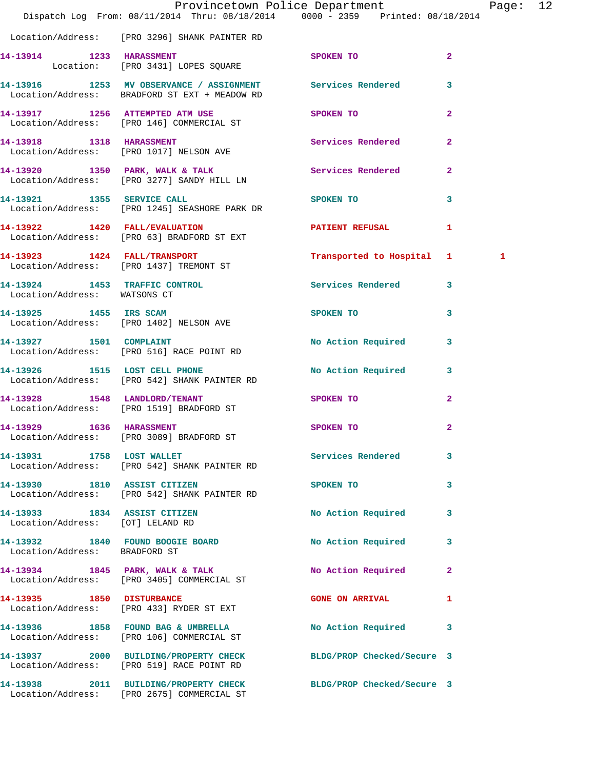|                                  | Dispatch Log From: 08/11/2014 Thru: 08/18/2014 0000 - 2359 Printed: 08/18/2014                                | Provincetown Police Department Page: 12                                                                        |              |   |  |
|----------------------------------|---------------------------------------------------------------------------------------------------------------|----------------------------------------------------------------------------------------------------------------|--------------|---|--|
|                                  | Location/Address: [PRO 3296] SHANK PAINTER RD                                                                 |                                                                                                                |              |   |  |
|                                  | 14-13914 1233 HARASSMENT<br>Location: [PRO 3431] LOPES SQUARE                                                 | <b>SPOKEN TO</b>                                                                                               | $\mathbf{2}$ |   |  |
|                                  | 14-13916 1253 MV OBSERVANCE / ASSIGNMENT Services Rendered 3<br>Location/Address: BRADFORD ST EXT + MEADOW RD |                                                                                                                |              |   |  |
|                                  | 14-13917 1256 ATTEMPTED ATM USE<br>Location/Address: [PRO 146] COMMERCIAL ST                                  | SPOKEN TO                                                                                                      | $\mathbf{2}$ |   |  |
|                                  | 14-13918 1318 HARASSMENT Services Rendered 2<br>Location/Address: [PRO 1017] NELSON AVE                       |                                                                                                                |              |   |  |
|                                  | 14-13920 1350 PARK, WALK & TALK Services Rendered 2<br>Location/Address: [PRO 3277] SANDY HILL LN             |                                                                                                                |              |   |  |
|                                  | 14-13921 1355 SERVICE CALL<br>Location/Address: [PRO 1245] SEASHORE PARK DR                                   | SPOKEN TO AND TO A STATE OF THE STATE OF THE STATE OF THE STATE OF THE STATE OF THE STATE OF THE STATE OF THE  | $\mathbf{3}$ |   |  |
|                                  | 14-13922 1420 FALL/EVALUATION PATIENT REFUSAL 1<br>Location/Address: [PRO 63] BRADFORD ST EXT                 |                                                                                                                |              |   |  |
|                                  | 14-13923 1424 FALL/TRANSPORT<br>Location/Address: [PRO 1437] TREMONT ST                                       | Transported to Hospital 1                                                                                      |              | 1 |  |
| Location/Address: WATSONS CT     | 14-13924 1453 TRAFFIC CONTROL                                                                                 | Services Rendered 3                                                                                            |              |   |  |
|                                  | 14-13925 1455 IRS SCAM<br>Location/Address: [PRO 1402] NELSON AVE                                             | SPOKEN TO THE STATE OF THE STATE OF THE STATE OF THE STATE OF THE STATE OF THE STATE OF THE STATE OF THE STATE | 3            |   |  |
|                                  | 14-13927 1501 COMPLAINT<br>Location/Address: [PRO 516] RACE POINT RD                                          | No Action Required                                                                                             | $\mathbf{3}$ |   |  |
|                                  | 14-13926 1515 LOST CELL PHONE<br>Location/Address: [PRO 542] SHANK PAINTER RD                                 | No Action Required 3                                                                                           |              |   |  |
|                                  | 14-13928 1548 LANDLORD/TENANT<br>Location/Address: [PRO 1519] BRADFORD ST                                     | SPOKEN TO                                                                                                      | $\mathbf{2}$ |   |  |
| 14-13929 1636 HARASSMENT         | Location/Address: [PRO 3089] BRADFORD ST                                                                      | SPOKEN TO                                                                                                      | $\mathbf{2}$ |   |  |
|                                  | 14-13931 1758 LOST WALLET<br>Location/Address: [PRO 542] SHANK PAINTER RD                                     | Services Rendered 3                                                                                            |              |   |  |
|                                  | 14-13930 1810 ASSIST CITIZEN<br>Location/Address: [PRO 542] SHANK PAINTER RD                                  | SPOKEN TO THE SPOKEN OF THE SPOKEN TO                                                                          | 3            |   |  |
| Location/Address: [OT] LELAND RD | 14-13933 1834 ASSIST CITIZEN                                                                                  | No Action Required 3                                                                                           |              |   |  |
| Location/Address: BRADFORD ST    | 14-13932 1840 FOUND BOOGIE BOARD                                                                              | No Action Required                                                                                             | 3            |   |  |
|                                  | 14-13934 1845 PARK, WALK & TALK NO Action Required 2<br>Location/Address: [PRO 3405] COMMERCIAL ST            |                                                                                                                |              |   |  |
|                                  | 14-13935 1850 DISTURBANCE<br>Location/Address: [PRO 433] RYDER ST EXT                                         | <b>GONE ON ARRIVAL</b>                                                                                         | ı            |   |  |
|                                  | 14-13936 1858 FOUND BAG & UMBRELLA<br>Location/Address: [PRO 106] COMMERCIAL ST                               | No Action Required 3                                                                                           |              |   |  |
|                                  | 14-13937 2000 BUILDING/PROPERTY CHECK<br>Location/Address: [PRO 519] RACE POINT RD                            | BLDG/PROP Checked/Secure 3                                                                                     |              |   |  |
|                                  | 14-13938 2011 BUILDING/PROPERTY CHECK<br>Location/Address: [PRO 2675] COMMERCIAL ST                           | BLDG/PROP Checked/Secure 3                                                                                     |              |   |  |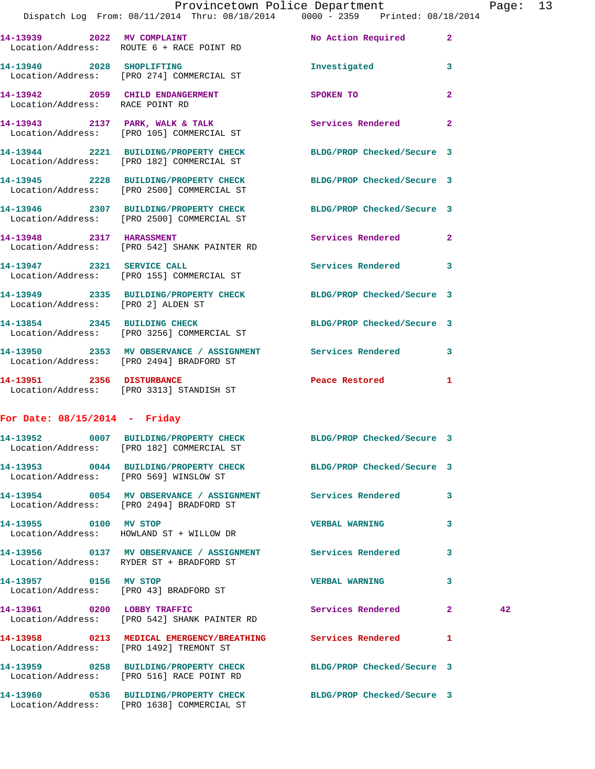|                                 | Provincetown Police Department                                                                                     |                            |                | Page |
|---------------------------------|--------------------------------------------------------------------------------------------------------------------|----------------------------|----------------|------|
|                                 | Dispatch Log From: 08/11/2014 Thru: 08/18/2014   0000 - 2359   Printed: 08/18/2014                                 |                            |                |      |
|                                 | 14-13939 2022 MV COMPLAINT<br>Location/Address: ROUTE 6 + RACE POINT RD                                            | No Action Required 2       |                |      |
|                                 | 14-13940 2028 SHOPLIFTING<br>Location/Address: [PRO 274] COMMERCIAL ST                                             | Investigated               | 3              |      |
| Location/Address: RACE POINT RD | 14-13942 2059 CHILD ENDANGERMENT                                                                                   | SPOKEN TO                  | $\overline{a}$ |      |
|                                 | 14-13943 2137 PARK, WALK & TALK Services Rendered 2<br>Location/Address: [PRO 105] COMMERCIAL ST                   |                            |                |      |
|                                 | 14-13944 2221 BUILDING/PROPERTY CHECK BLDG/PROP Checked/Secure 3<br>Location/Address: [PRO 182] COMMERCIAL ST      |                            |                |      |
|                                 | 14-13945 2228 BUILDING/PROPERTY CHECK BLDG/PROP Checked/Secure 3<br>Location/Address: [PRO 2500] COMMERCIAL ST     |                            |                |      |
|                                 | 14-13946 2307 BUILDING/PROPERTY CHECK<br>Location/Address: [PRO 2500] COMMERCIAL ST                                | BLDG/PROP Checked/Secure 3 |                |      |
|                                 | 14-13948 2317 HARASSMENT<br>Location/Address: [PRO 542] SHANK PAINTER RD                                           | <b>Services Rendered</b>   | $\mathbf{2}$   |      |
|                                 | 14-13947 2321 SERVICE CALL<br>Location/Address: [PRO 155] COMMERCIAL ST                                            | Services Rendered 3        |                |      |
|                                 | 14-13949 2335 BUILDING/PROPERTY CHECK BLDG/PROP Checked/Secure 3<br>Location/Address: [PRO 2] ALDEN ST             |                            |                |      |
|                                 | 14-13854 2345 BUILDING CHECK<br>Location/Address: [PRO 3256] COMMERCIAL ST                                         | BLDG/PROP Checked/Secure 3 |                |      |
|                                 | 14-13950 2353 MV OBSERVANCE / ASSIGNMENT Services Rendered<br>Location/Address: [PRO 2494] BRADFORD ST             |                            | 3              |      |
|                                 | 14-13951 2356 DISTURBANCE<br>Location/Address: [PRO 3313] STANDISH ST                                              | Peace Restored             | $\mathbf{1}$   |      |
| For Date: $08/15/2014$ - Friday |                                                                                                                    |                            |                |      |
|                                 | 14-13952 0007 BUILDING/PROPERTY CHECK<br>Location/Address: [PRO 182] COMMERCIAL ST                                 | BLDG/PROP Checked/Secure 3 |                |      |
|                                 | 14-13953 0044 BUILDING/PROPERTY CHECK BLDG/PROP Checked/Secure 3<br>Location/Address: [PRO 569] WINSLOW ST         |                            |                |      |
|                                 | 14-13954 0054 MV OBSERVANCE / ASSIGNMENT Services Rendered<br>Location/Address: [PRO 2494] BRADFORD ST             |                            | 3              |      |
| 14-13955 0100 MV STOP           | Location/Address: HOWLAND ST + WILLOW DR                                                                           | <b>VERBAL WARNING</b>      | 3              |      |
|                                 | 14-13956      0137   MV OBSERVANCE / ASSIGNMENT      Services Rendered<br>Location/Address: RYDER ST + BRADFORD ST |                            | 3              |      |
| 14-13957 0156 MV STOP           | Location/Address: [PRO 43] BRADFORD ST                                                                             | <b>VERBAL WARNING</b>      | 3              |      |
|                                 | 14-13961 0200 LOBBY TRAFFIC<br>Location/Address: [PRO 542] SHANK PAINTER RD                                        | Services Rendered 2        |                | 42   |
|                                 | 14-13958 0213 MEDICAL EMERGENCY/BREATHING Services Rendered<br>Location/Address: [PRO 1492] TREMONT ST             |                            | 1              |      |
|                                 | 14-13959 0258 BUILDING/PROPERTY CHECK BLDG/PROP Checked/Secure 3<br>Location/Address: [PRO 516] RACE POINT RD      |                            |                |      |
|                                 | 14-13960 0536 BUILDING/PROPERTY CHECK BLDG/PROP Checked/Secure 3<br>Location/Address: [PRO 1638] COMMERCIAL ST     |                            |                |      |

Page: 13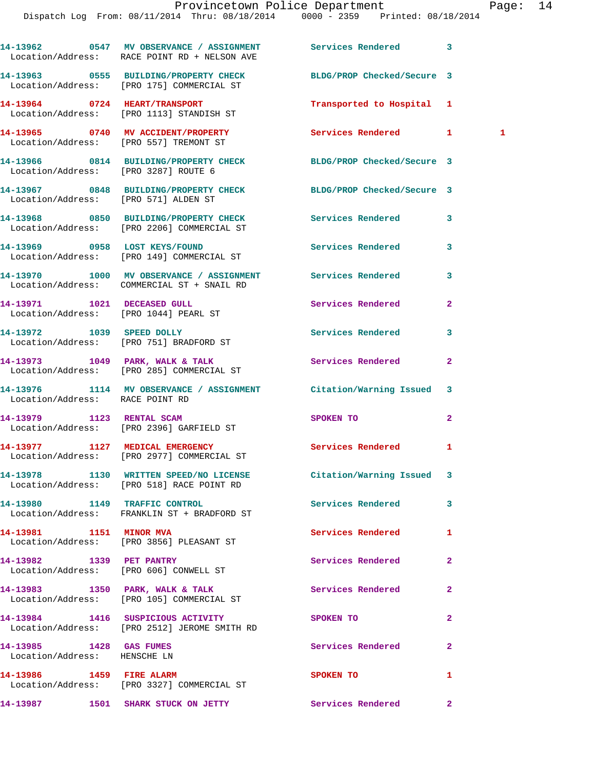|                                                         | 14-13962 0547 MV OBSERVANCE / ASSIGNMENT Services Rendered<br>Location/Address: RACE POINT RD + NELSON AVE    |                            | 3                                                 |
|---------------------------------------------------------|---------------------------------------------------------------------------------------------------------------|----------------------------|---------------------------------------------------|
|                                                         | 14-13963 0555 BUILDING/PROPERTY CHECK<br>Location/Address: [PRO 175] COMMERCIAL ST                            | BLDG/PROP Checked/Secure 3 |                                                   |
|                                                         | 14-13964 0724 HEART/TRANSPORT<br>Location/Address: [PRO 1113] STANDISH ST                                     | Transported to Hospital 1  |                                                   |
|                                                         | 14-13965 0740 MV ACCIDENT/PROPERTY<br>Location/Address: [PRO 557] TREMONT ST                                  | Services Rendered 1        | $\overline{\phantom{a}}$ $\overline{\phantom{a}}$ |
| Location/Address: [PRO 3287] ROUTE 6                    | 14-13966 0814 BUILDING/PROPERTY CHECK BLDG/PROP Checked/Secure 3                                              |                            |                                                   |
| Location/Address: [PRO 571] ALDEN ST                    | 14-13967 0848 BUILDING/PROPERTY CHECK BLDG/PROP Checked/Secure 3                                              |                            |                                                   |
|                                                         | 14-13968 0850 BUILDING/PROPERTY CHECK Services Rendered<br>Location/Address: [PRO 2206] COMMERCIAL ST         |                            | 3                                                 |
|                                                         | 14-13969 0958 LOST KEYS/FOUND<br>Location/Address: [PRO 149] COMMERCIAL ST                                    | Services Rendered          | 3                                                 |
|                                                         | 14-13970 1000 MV OBSERVANCE / ASSIGNMENT Services Rendered<br>Location/Address: COMMERCIAL ST + SNAIL RD      |                            | 3                                                 |
|                                                         | 14-13971 1021 DECEASED GULL<br>Location/Address: [PRO 1044] PEARL ST                                          | Services Rendered          | $\overline{a}$                                    |
|                                                         | 14-13972 1039 SPEED DOLLY<br>Location/Address: [PRO 751] BRADFORD ST                                          | <b>Services Rendered</b>   | 3                                                 |
|                                                         | 14-13973 1049 PARK, WALK & TALK<br>Location/Address: [PRO 285] COMMERCIAL ST                                  | Services Rendered          | $\mathbf{2}$                                      |
| Location/Address: RACE POINT RD                         | 14-13976 1114 MV OBSERVANCE / ASSIGNMENT Citation/Warning Issued                                              |                            | 3                                                 |
| 14-13979 1123 RENTAL SCAM                               | Location/Address: [PRO 2396] GARFIELD ST                                                                      | <b>SPOKEN TO</b>           | $\mathbf{2}$                                      |
|                                                         | 14-13977 1127 MEDICAL EMERGENCY<br>Location/Address: [PRO 2977] COMMERCIAL ST                                 | Services Rendered          | 1                                                 |
|                                                         | 14-13978 1130 WRITTEN SPEED/NO LICENSE Citation/Warning Issued 3<br>Location/Address: [PRO 518] RACE POINT RD |                            |                                                   |
|                                                         | 14-13980 1149 TRAFFIC CONTROL<br>Location/Address: FRANKLIN ST + BRADFORD ST                                  | Services Rendered          | 3                                                 |
| 14-13981 1151 MINOR MVA                                 | Location/Address: [PRO 3856] PLEASANT ST                                                                      | Services Rendered          | 1                                                 |
|                                                         | 14-13982 1339 PET PANTRY<br>Location/Address: [PRO 606] CONWELL ST                                            | Services Rendered          | $\mathbf{2}$                                      |
|                                                         | 14-13983 1350 PARK, WALK & TALK<br>Location/Address: [PRO 105] COMMERCIAL ST                                  | Services Rendered          | $\overline{a}$                                    |
|                                                         | 14-13984 1416 SUSPICIOUS ACTIVITY<br>Location/Address: [PRO 2512] JEROME SMITH RD                             | SPOKEN TO                  | $\mathbf{2}$                                      |
| 14-13985 1428 GAS FUMES<br>Location/Address: HENSCHE LN |                                                                                                               | Services Rendered          | $\mathbf{2}$                                      |
| 14-13986 1459 FIRE ALARM                                | Location/Address: [PRO 3327] COMMERCIAL ST                                                                    | SPOKEN TO                  | 1                                                 |
|                                                         | 14-13987 1501 SHARK STUCK ON JETTY                                                                            | Services Rendered          | $\mathbf{2}$                                      |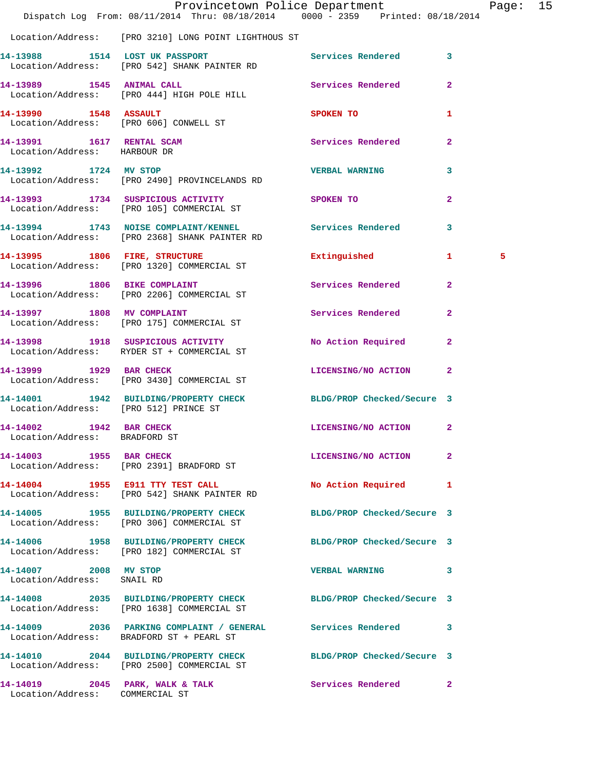|                                                           | Dispatch Log From: 08/11/2014 Thru: 08/18/2014 0000 - 2359 Printed: 08/18/2014                                 | Provincetown Police Department |              | Page: 15 |  |
|-----------------------------------------------------------|----------------------------------------------------------------------------------------------------------------|--------------------------------|--------------|----------|--|
|                                                           | Location/Address: [PRO 3210] LONG POINT LIGHTHOUS ST                                                           |                                |              |          |  |
|                                                           | 14-13988 1514 LOST UK PASSPORT<br>Location/Address: [PRO 542] SHANK PAINTER RD                                 | Services Rendered 3            |              |          |  |
|                                                           | 14-13989 1545 ANIMAL CALL<br>Location/Address: [PRO 444] HIGH POLE HILL                                        | Services Rendered              | $\mathbf{2}$ |          |  |
| 14-13990 1548 ASSAULT                                     | Location/Address: [PRO 606] CONWELL ST                                                                         | SPOKEN TO                      | $\mathbf{1}$ |          |  |
| 14-13991 1617 RENTAL SCAM<br>Location/Address: HARBOUR DR |                                                                                                                | Services Rendered              | $\mathbf{2}$ |          |  |
| 14-13992 1724 MV STOP                                     | Location/Address: [PRO 2490] PROVINCELANDS RD                                                                  | <b>VERBAL WARNING</b>          | 3            |          |  |
|                                                           | 14-13993 1734 SUSPICIOUS ACTIVITY<br>Location/Address: [PRO 105] COMMERCIAL ST                                 | SPOKEN TO                      | $\mathbf{2}$ |          |  |
|                                                           | 14-13994 1743 NOISE COMPLAINT/KENNEL Services Rendered<br>Location/Address: [PRO 2368] SHANK PAINTER RD        |                                | 3            |          |  |
|                                                           | 14-13995 1806 FIRE, STRUCTURE<br>Location/Address: [PRO 1320] COMMERCIAL ST                                    | Extinguished 1                 |              | 5        |  |
|                                                           | 14-13996 1806 BIKE COMPLAINT<br>Location/Address: [PRO 2206] COMMERCIAL ST                                     | Services Rendered              | $\mathbf{2}$ |          |  |
|                                                           | 14-13997 1808 MV COMPLAINT<br>Location/Address: [PRO 175] COMMERCIAL ST                                        | Services Rendered              | $\mathbf{2}$ |          |  |
|                                                           | 14-13998 1918 SUSPICIOUS ACTIVITY<br>Location/Address: RYDER ST + COMMERCIAL ST                                | No Action Required             | $\mathbf{2}$ |          |  |
| 14-13999 1929 BAR CHECK                                   | Location/Address: [PRO 3430] COMMERCIAL ST                                                                     | LICENSING/NO ACTION 2          |              |          |  |
| Location/Address: [PRO 512] PRINCE ST                     | 14-14001 1942 BUILDING/PROPERTY CHECK BLDG/PROP Checked/Secure 3                                               |                                |              |          |  |
| 14-14002 1942 BAR CHECK<br>Location/Address: BRADFORD ST  |                                                                                                                | LICENSING/NO ACTION 2          |              |          |  |
|                                                           | 14-14003 1955 BAR CHECK<br>Location/Address: [PRO 2391] BRADFORD ST                                            | LICENSING/NO ACTION            | 2            |          |  |
|                                                           | 14-14004 1955 E911 TTY TEST CALL<br>Location/Address: [PRO 542] SHANK PAINTER RD                               | No Action Required 1           |              |          |  |
|                                                           | 14-14005 1955 BUILDING/PROPERTY CHECK BLDG/PROP Checked/Secure 3<br>Location/Address: [PRO 306] COMMERCIAL ST  |                                |              |          |  |
|                                                           | 14-14006 1958 BUILDING/PROPERTY CHECK BLDG/PROP Checked/Secure 3<br>Location/Address: [PRO 182] COMMERCIAL ST  |                                |              |          |  |
| 14-14007 2008 MV STOP<br>Location/Address: SNAIL RD       |                                                                                                                | <b>VERBAL WARNING</b>          | 3            |          |  |
|                                                           | 14-14008 2035 BUILDING/PROPERTY CHECK BLDG/PROP Checked/Secure 3<br>Location/Address: [PRO 1638] COMMERCIAL ST |                                |              |          |  |
|                                                           | 14-14009 2036 PARKING COMPLAINT / GENERAL Services Rendered 3<br>Location/Address: BRADFORD ST + PEARL ST      |                                |              |          |  |
|                                                           | 14-14010 2044 BUILDING/PROPERTY CHECK BLDG/PROP Checked/Secure 3<br>Location/Address: [PRO 2500] COMMERCIAL ST |                                |              |          |  |
| Location/Address: COMMERCIAL ST                           | 14-14019 2045 PARK, WALK & TALK                                                                                | Services Rendered              | $\mathbf{2}$ |          |  |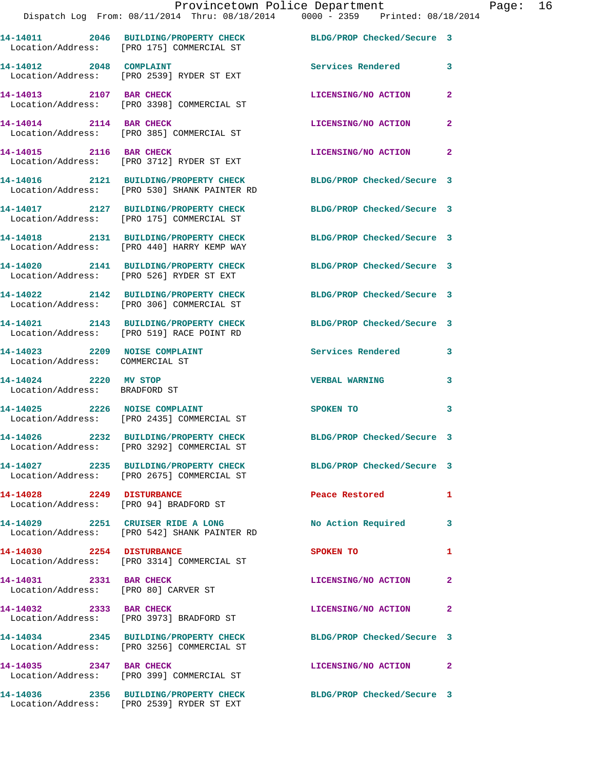|                         | Provincetown Police Department<br>Dispatch Log From: 08/11/2014 Thru: 08/18/2014 0000 - 2359 Printed: 08/18/2014 |                            |                         |
|-------------------------|------------------------------------------------------------------------------------------------------------------|----------------------------|-------------------------|
|                         | 14-14011 2046 BUILDING/PROPERTY CHECK BLDG/PROP Checked/Secure 3<br>Location/Address: [PRO 175] COMMERCIAL ST    |                            |                         |
| 14-14012 2048 COMPLAINT | Location/Address: [PRO 2539] RYDER ST EXT                                                                        | <b>Services Rendered</b>   | $\overline{\mathbf{3}}$ |
| 14-14013 2107 BAR CHECK | Location/Address: [PRO 3398] COMMERCIAL ST                                                                       | LICENSING/NO ACTION        | $\overline{2}$          |
| 14-14014 2114 BAR CHECK | Location/Address: [PRO 385] COMMERCIAL ST                                                                        | LICENSING/NO ACTION        | $\overline{2}$          |
| 14-14015 2116 BAR CHECK | Location/Address: [PRO 3712] RYDER ST EXT                                                                        | LICENSING/NO ACTION        | $\overline{2}$          |
|                         | 14-14016 2121 BUILDING/PROPERTY CHECK<br>Location/Address: [PRO 530] SHANK PAINTER RD                            | BLDG/PROP Checked/Secure 3 |                         |
|                         | 14-14017 2127 BUILDING/PROPERTY CHECK<br>Location/Address: [PRO 175] COMMERCIAL ST                               | BLDG/PROP Checked/Secure 3 |                         |
|                         | 14-14018 2131 BUILDING/PROPERTY CHECK<br>Location/Address: [PRO 440] HARRY KEMP WAY                              | BLDG/PROP Checked/Secure 3 |                         |
|                         | 14-14020 2141 BUILDING/PROPERTY CHECK<br>Location/Address: [PRO 526] RYDER ST EXT                                | BLDG/PROP Checked/Secure 3 |                         |
|                         | 14-14022 2142 BUILDING/PROPERTY CHECK BLDG/PROP Checked/Secure 3<br>Location/Address: [PRO 306] COMMERCIAL ST    |                            |                         |
|                         | 14-14021 2143 BUILDING/PROPERTY CHECK                                                                            | BLDG/PROP Checked/Secure 3 |                         |

 Location/Address: [PRO 519] RACE POINT RD **14-14023 2209 NOISE COMPLAINT Services Rendered 3** 

Location/Address: COMMERCIAL ST

**14-14024 2220 MV STOP VERBAL WARNING 3**  Location/Address: BRADFORD ST

**14-14025 2226 NOISE COMPLAINT SPOKEN TO** 3 Location/Address: [PRO 2435] COMMERCIAL ST

**14-14026 2232 BUILDING/PROPERTY CHECK BLDG/PROP Checked/Secure 3**  Location/Address: [PRO 3292] COMMERCIAL ST

Location/Address: [PRO 2675] COMMERCIAL ST

**14-14028 2249 DISTURBANCE Peace Restored 1**  Location/Address: [PRO 94] BRADFORD ST

Location/Address: [PRO 542] SHANK PAINTER RD

Location/Address: [PRO 3314] COMMERCIAL ST

Location/Address: [PRO 80] CARVER ST

**14-14032 2333 BAR CHECK LICENSING/NO ACTION 2** 

**14-14034 2345 BUILDING/PROPERTY CHECK BLDG/PROP Checked/Secure 3** 

Location/Address: [PRO 3973] BRADFORD ST

Location/Address: [PRO 3256] COMMERCIAL ST

Location/Address: [PRO 399] COMMERCIAL ST

Location/Address: [PRO 2539] RYDER ST EXT

**14-14027 2235 BUILDING/PROPERTY CHECK BLDG/PROP Checked/Secure 3** 

**14-14029 2251 CRUISER RIDE A LONG No Action Required 3** 

**14-14030 2254 DISTURBANCE SPOKEN TO 1** 

**14-14031 2331 BAR CHECK LICENSING/NO ACTION 2** 

**14-14035 2347 BAR CHECK LICENSING/NO ACTION 2** 

**14-14036 2356 BUILDING/PROPERTY CHECK BLDG/PROP Checked/Secure 3** 

Page: 16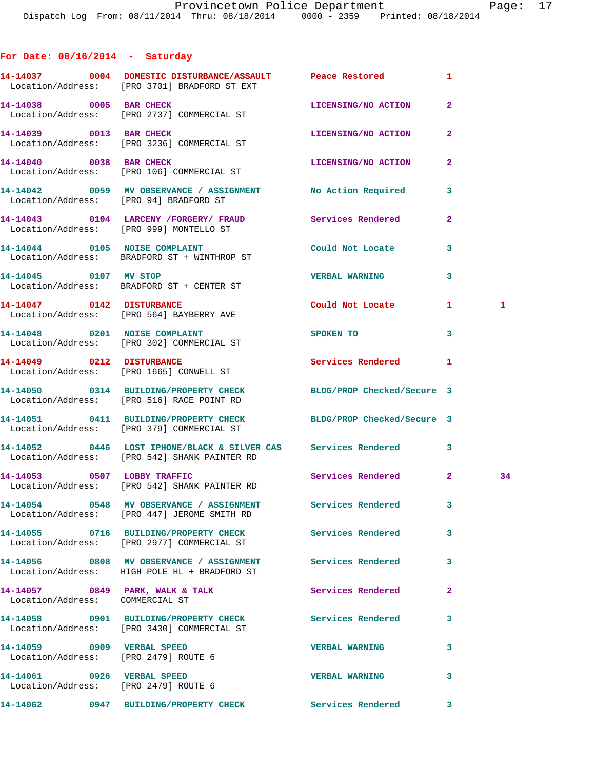## **For Date: 08/16/2014 - Saturday**

|                                                                    | 14-14037 0004 DOMESTIC DISTURBANCE/ASSAULT Peace Restored<br>Location/Address: [PRO 3701] BRADFORD ST EXT             |                            | 1              |    |
|--------------------------------------------------------------------|-----------------------------------------------------------------------------------------------------------------------|----------------------------|----------------|----|
| 14-14038 0005 BAR CHECK                                            | Location/Address: [PRO 2737] COMMERCIAL ST                                                                            | LICENSING/NO ACTION        | $\overline{a}$ |    |
| 14-14039 0013 BAR CHECK                                            | Location/Address: [PRO 3236] COMMERCIAL ST                                                                            | LICENSING/NO ACTION        | $\mathbf{2}$   |    |
| 14-14040 0038 BAR CHECK                                            | Location/Address: [PRO 106] COMMERCIAL ST                                                                             | LICENSING/NO ACTION        | $\mathbf{2}$   |    |
|                                                                    | 14-14042 0059 MV OBSERVANCE / ASSIGNMENT No Action Required<br>Location/Address: [PRO 94] BRADFORD ST                 |                            | 3              |    |
|                                                                    | 14-14043    0104 LARCENY / FORGERY / FRAUD    Services Rendered<br>Location/Address: [PRO 999] MONTELLO ST            |                            | 2              |    |
|                                                                    | 14-14044 0105 NOISE COMPLAINT<br>Location/Address: BRADFORD ST + WINTHROP ST                                          | Could Not Locate           | 3              |    |
| 14-14045 0107 MV STOP                                              | Location/Address: BRADFORD ST + CENTER ST                                                                             | <b>VERBAL WARNING</b>      | 3              |    |
|                                                                    | 14-14047 0142 DISTURBANCE<br>Location/Address: [PRO 564] BAYBERRY AVE                                                 | Could Not Locate           | $\mathbf{1}$   | 1  |
|                                                                    | 14-14048 0201 NOISE COMPLAINT<br>Location/Address: [PRO 302] COMMERCIAL ST                                            | <b>SPOKEN TO</b>           | 3              |    |
| 14-14049 0212 DISTURBANCE                                          | Location/Address: [PRO 1665] CONWELL ST                                                                               | Services Rendered          | 1              |    |
|                                                                    | 14-14050 0314 BUILDING/PROPERTY CHECK<br>Location/Address: [PRO 516] RACE POINT RD                                    | BLDG/PROP Checked/Secure 3 |                |    |
|                                                                    | 14-14051 0411 BUILDING/PROPERTY CHECK BLDG/PROP Checked/Secure 3<br>Location/Address: [PRO 379] COMMERCIAL ST         |                            |                |    |
|                                                                    | 14-14052 0446 LOST IPHONE/BLACK & SILVER CAS Services Rendered<br>Location/Address: [PRO 542] SHANK PAINTER RD        |                            | 3              |    |
|                                                                    | 14-14053 0507 LOBBY TRAFFIC<br>Location/Address: [PRO 542] SHANK PAINTER RD                                           | Services Rendered 2        |                | 34 |
|                                                                    | 14-14054      0548   MV OBSERVANCE / ASSIGNMENT      Services Rendered<br>Location/Address: [PRO 447] JEROME SMITH RD |                            | $\mathbf{3}$   |    |
|                                                                    | 14-14055 0716 BUILDING/PROPERTY CHECK Services Rendered<br>Location/Address: [PRO 2977] COMMERCIAL ST                 |                            | 3              |    |
|                                                                    | 14-14056 6808 MV OBSERVANCE / ASSIGNMENT Services Rendered<br>Location/Address: HIGH POLE HL + BRADFORD ST            |                            | 3              |    |
| Location/Address: COMMERCIAL ST                                    | 14-14057 0849 PARK, WALK & TALK                                                                                       | Services Rendered          | $\mathbf{2}$   |    |
|                                                                    | 14-14058 0901 BUILDING/PROPERTY CHECK<br>Location/Address: [PRO 3430] COMMERCIAL ST                                   | <b>Services Rendered</b>   | 3              |    |
| 14-14059 0909 VERBAL SPEED<br>Location/Address: [PRO 2479] ROUTE 6 |                                                                                                                       | <b>VERBAL WARNING</b>      | 3              |    |
| 14-14061 0926 VERBAL SPEED<br>Location/Address: [PRO 2479] ROUTE 6 |                                                                                                                       | <b>VERBAL WARNING</b>      | 3              |    |
|                                                                    | 14-14062 0947 BUILDING/PROPERTY CHECK                                                                                 | Services Rendered 3        |                |    |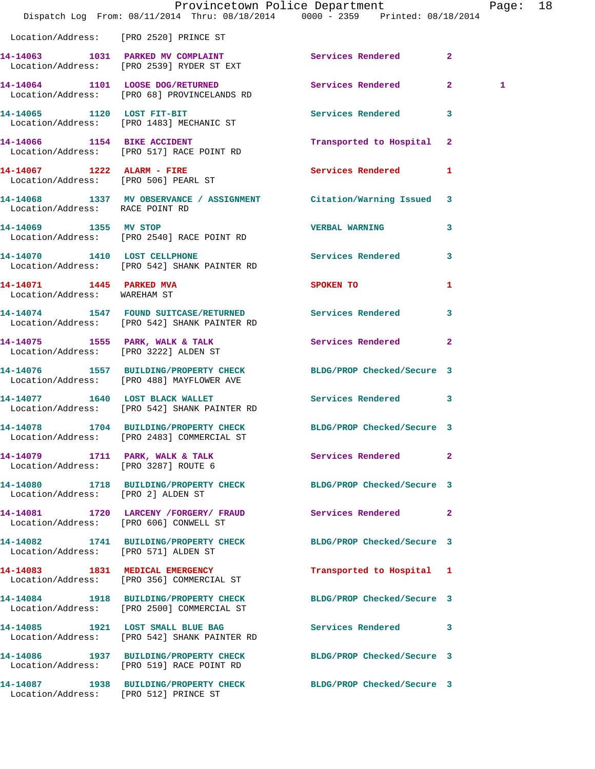|                                                          | Dispatch Log From: 08/11/2014 Thru: 08/18/2014 0000 - 2359 Printed: 08/18/2014                                 | Provincetown Police Department |                         | Page: 18 |  |
|----------------------------------------------------------|----------------------------------------------------------------------------------------------------------------|--------------------------------|-------------------------|----------|--|
| Location/Address: [PRO 2520] PRINCE ST                   |                                                                                                                |                                |                         |          |  |
|                                                          | 14-14063 1031 PARKED MV COMPLAINT<br>Location/Address: [PRO 2539] RYDER ST EXT                                 | Services Rendered 2            |                         |          |  |
|                                                          | 14-14064 1101 LOOSE DOG/RETURNED<br>Location/Address: [PRO 68] PROVINCELANDS RD                                | Services Rendered 2            |                         | 1        |  |
|                                                          | 14-14065 1120 LOST FIT-BIT<br>Location/Address: [PRO 1483] MECHANIC ST                                         | Services Rendered 3            |                         |          |  |
|                                                          | 14-14066 1154 BIKE ACCIDENT<br>Location/Address: [PRO 517] RACE POINT RD                                       | Transported to Hospital 2      |                         |          |  |
|                                                          | 14-14067 1222 ALARM - FIRE<br>Location/Address: [PRO 506] PEARL ST                                             | Services Rendered 1            |                         |          |  |
| Location/Address: RACE POINT RD                          | 14-14068 1337 MV OBSERVANCE / ASSIGNMENT Citation/Warning Issued 3                                             |                                |                         |          |  |
| 14-14069 1355 MV STOP                                    | Location/Address: [PRO 2540] RACE POINT RD                                                                     | <b>VERBAL WARNING</b>          | $\overline{\mathbf{3}}$ |          |  |
|                                                          | 14-14070 1410 LOST CELLPHONE<br>Location/Address: [PRO 542] SHANK PAINTER RD                                   | Services Rendered 3            |                         |          |  |
| 14-14071 1445 PARKED MVA<br>Location/Address: WAREHAM ST |                                                                                                                | <b>SPOKEN TO</b>               | 1                       |          |  |
|                                                          | 14-14074 1547 FOUND SUITCASE/RETURNED Services Rendered<br>Location/Address: [PRO 542] SHANK PAINTER RD        |                                | $\overline{\mathbf{3}}$ |          |  |
|                                                          | 14-14075 1555 PARK, WALK & TALK<br>Location/Address: [PRO 3222] ALDEN ST                                       | Services Rendered              | $\mathbf{2}$            |          |  |
|                                                          | 14-14076 1557 BUILDING/PROPERTY CHECK BLDG/PROP Checked/Secure 3<br>Location/Address: [PRO 488] MAYFLOWER AVE  |                                |                         |          |  |
|                                                          | 14-14077 1640 LOST BLACK WALLET<br>Location/Address: [PRO 542] SHANK PAINTER RD                                | Services Rendered 3            |                         |          |  |
|                                                          | 14-14078 1704 BUILDING/PROPERTY CHECK BLDG/PROP Checked/Secure 3<br>Location/Address: [PRO 2483] COMMERCIAL ST |                                |                         |          |  |
|                                                          | 14-14079 1711 PARK, WALK & TALK<br>Location/Address: [PRO 3287] ROUTE 6                                        | Services Rendered 2            |                         |          |  |
| Location/Address: [PRO 2] ALDEN ST                       | 14-14080 1718 BUILDING/PROPERTY CHECK BLDG/PROP Checked/Secure 3                                               |                                |                         |          |  |
| Location/Address: [PRO 606] CONWELL ST                   | 14-14081 1720 LARCENY / FORGERY / FRAUD Services Rendered 2                                                    |                                |                         |          |  |
| Location/Address: [PRO 571] ALDEN ST                     | 14-14082 1741 BUILDING/PROPERTY CHECK BLDG/PROP Checked/Secure 3                                               |                                |                         |          |  |
|                                                          | 14-14083 1831 MEDICAL EMERGENCY<br>Location/Address: [PRO 356] COMMERCIAL ST                                   | Transported to Hospital 1      |                         |          |  |
|                                                          | 14-14084 1918 BUILDING/PROPERTY CHECK<br>Location/Address: [PRO 2500] COMMERCIAL ST                            | BLDG/PROP Checked/Secure 3     |                         |          |  |
|                                                          | 14-14085 1921 LOST SMALL BLUE BAG<br>Location/Address: [PRO 542] SHANK PAINTER RD                              | Services Rendered 3            |                         |          |  |
|                                                          | 14-14086 1937 BUILDING/PROPERTY CHECK BLDG/PROP Checked/Secure 3<br>Location/Address: [PRO 519] RACE POINT RD  |                                |                         |          |  |
| Location/Address: [PRO 512] PRINCE ST                    | 14-14087 1938 BUILDING/PROPERTY CHECK                                                                          | BLDG/PROP Checked/Secure 3     |                         |          |  |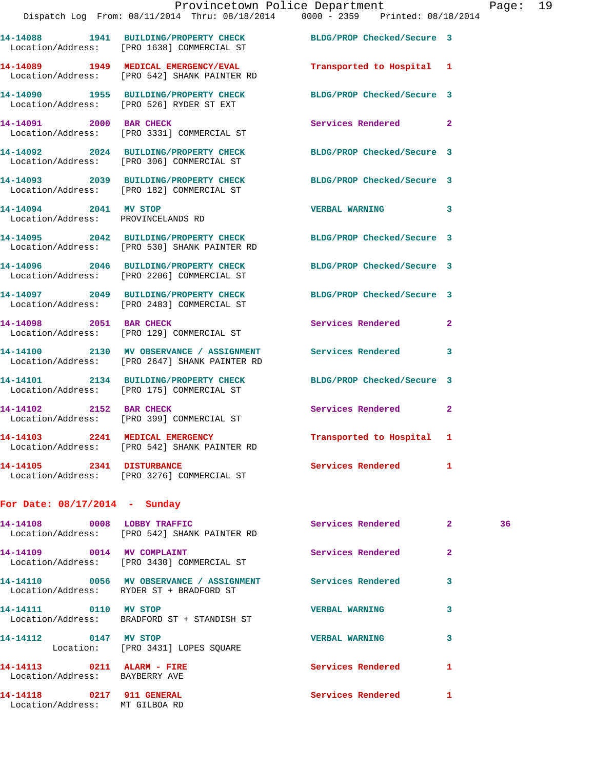|                                                             | Provincetown Police Department<br>Dispatch Log From: $08/11/2014$ Thru: $08/18/2014$ 0000 - 2359 Printed: $08/18/2014$ |                            |   | Page: 19 |  |
|-------------------------------------------------------------|------------------------------------------------------------------------------------------------------------------------|----------------------------|---|----------|--|
|                                                             | 14-14088 1941 BUILDING/PROPERTY CHECK BLDG/PROP Checked/Secure 3<br>Location/Address: [PRO 1638] COMMERCIAL ST         |                            |   |          |  |
|                                                             | 14-14089 1949 MEDICAL EMERGENCY/EVAL<br>Location/Address: [PRO 542] SHANK PAINTER RD                                   | Transported to Hospital 1  |   |          |  |
|                                                             | 14-14090 1955 BUILDING/PROPERTY CHECK BLDG/PROP Checked/Secure 3<br>Location/Address: [PRO 526] RYDER ST EXT           |                            |   |          |  |
| 14-14091 2000 BAR CHECK                                     | Location/Address: [PRO 3331] COMMERCIAL ST                                                                             | Services Rendered 2        |   |          |  |
|                                                             | 14-14092 2024 BUILDING/PROPERTY CHECK BLDG/PROP Checked/Secure 3<br>Location/Address: [PRO 306] COMMERCIAL ST          |                            |   |          |  |
|                                                             | 14-14093 2039 BUILDING/PROPERTY CHECK BLDG/PROP Checked/Secure 3<br>Location/Address: [PRO 182] COMMERCIAL ST          |                            |   |          |  |
| 14-14094 2041 MV STOP<br>Location/Address: PROVINCELANDS RD |                                                                                                                        | VERBAL WARNING 3           |   |          |  |
|                                                             | 14-14095 2042 BUILDING/PROPERTY CHECK BLDG/PROP Checked/Secure 3<br>Location/Address: [PRO 530] SHANK PAINTER RD       |                            |   |          |  |
|                                                             | 14-14096 2046 BUILDING/PROPERTY CHECK<br>Location/Address: [PRO 2206] COMMERCIAL ST                                    | BLDG/PROP Checked/Secure 3 |   |          |  |
|                                                             | 14-14097 2049 BUILDING/PROPERTY CHECK BLDG/PROP Checked/Secure 3<br>Location/Address: [PRO 2483] COMMERCIAL ST         |                            |   |          |  |
|                                                             | 14-14098 2051 BAR CHECK<br>Location/Address: [PRO 129] COMMERCIAL ST                                                   | Services Rendered 2        |   |          |  |
|                                                             | 14-14100 2130 MV OBSERVANCE / ASSIGNMENT Services Rendered<br>Location/Address: [PRO 2647] SHANK PAINTER RD            |                            | 3 |          |  |
|                                                             | 14-14101 2134 BUILDING/PROPERTY CHECK<br>Location/Address: [PRO 175] COMMERCIAL ST                                     | BLDG/PROP Checked/Secure 3 |   |          |  |
|                                                             | 14-14102 2152 BAR CHECK<br>Location/Address: [PRO 399] COMMERCIAL ST                                                   | Services Rendered 2        |   |          |  |
|                                                             | 14-14103 2241 MEDICAL EMERGENCY<br>Location/Address: [PRO 542] SHANK PAINTER RD                                        | Transported to Hospital 1  |   |          |  |

**14-14105 2341 DISTURBANCE Services Rendered 1**  Location/Address: [PRO 3276] COMMERCIAL ST

## **For Date: 08/17/2014 - Sunday**

|                                | Location/Address: [PRO 542] SHANK PAINTER RD | Services Rendered     | $\overline{2}$ | 36 |
|--------------------------------|----------------------------------------------|-----------------------|----------------|----|
|                                | Location/Address: [PRO 3430] COMMERCIAL ST   | Services Rendered     | $\overline{2}$ |    |
|                                | Location/Address: RYDER ST + BRADFORD ST     |                       | 3              |    |
| 14-14111 0110 MV STOP          | Location/Address: BRADFORD ST + STANDISH ST  | <b>VERBAL WARNING</b> | 3              |    |
| 14-14112 0147 MV STOP          | Location: [PRO 3431] LOPES SOUARE            | <b>VERBAL WARNING</b> | 3              |    |
| Location/Address: BAYBERRY AVE |                                              | Services Rendered     | 1              |    |
| Location/Address: MT GILBOA RD |                                              | Services Rendered     |                |    |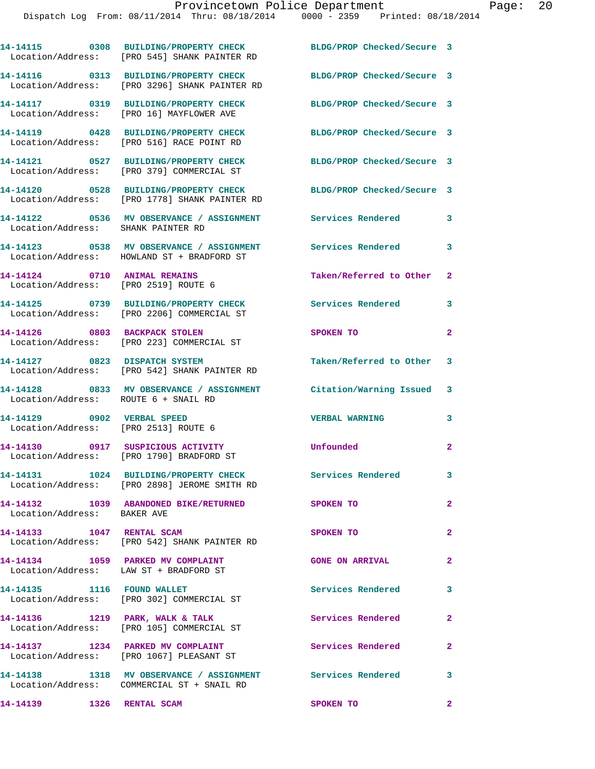|                                                                      | 14-14115 0308 BUILDING/PROPERTY CHECK<br>Location/Address: [PRO 545] SHANK PAINTER RD                      | BLDG/PROP Checked/Secure 3 |                         |
|----------------------------------------------------------------------|------------------------------------------------------------------------------------------------------------|----------------------------|-------------------------|
|                                                                      | 14-14116 0313 BUILDING/PROPERTY CHECK<br>Location/Address: [PRO 3296] SHANK PAINTER RD                     | BLDG/PROP Checked/Secure 3 |                         |
|                                                                      | 14-14117 0319 BUILDING/PROPERTY CHECK<br>Location/Address: [PRO 16] MAYFLOWER AVE                          | BLDG/PROP Checked/Secure 3 |                         |
|                                                                      | 14-14119 0428 BUILDING/PROPERTY CHECK<br>Location/Address: [PRO 516] RACE POINT RD                         | BLDG/PROP Checked/Secure 3 |                         |
|                                                                      | 14-14121 0527 BUILDING/PROPERTY CHECK<br>Location/Address: [PRO 379] COMMERCIAL ST                         | BLDG/PROP Checked/Secure 3 |                         |
|                                                                      | 14-14120 0528 BUILDING/PROPERTY CHECK<br>Location/Address: [PRO 1778] SHANK PAINTER RD                     | BLDG/PROP Checked/Secure 3 |                         |
| Location/Address: SHANK PAINTER RD                                   | 14-14122 0536 MV OBSERVANCE / ASSIGNMENT Services Rendered                                                 |                            | 3                       |
|                                                                      | 14-14123 0538 MV OBSERVANCE / ASSIGNMENT<br>Location/Address: HOWLAND ST + BRADFORD ST                     | <b>Services Rendered</b>   | 3                       |
| 14-14124 0710 ANIMAL REMAINS<br>Location/Address: [PRO 2519] ROUTE 6 |                                                                                                            | Taken/Referred to Other 2  |                         |
|                                                                      | 14-14125 0739 BUILDING/PROPERTY CHECK<br>Location/Address: [PRO 2206] COMMERCIAL ST                        | <b>Services Rendered</b>   | 3                       |
|                                                                      | 14-14126 0803 BACKPACK STOLEN<br>Location/Address: [PRO 223] COMMERCIAL ST                                 | SPOKEN TO                  | $\mathbf{2}$            |
| 14-14127 0823 DISPATCH SYSTEM                                        | Location/Address: [PRO 542] SHANK PAINTER RD                                                               | Taken/Referred to Other 3  |                         |
| Location/Address: ROUTE 6 + SNAIL RD                                 | 14-14128 0833 MV OBSERVANCE / ASSIGNMENT Citation/Warning Issued 3                                         |                            |                         |
| 14-14129 0902 VERBAL SPEED<br>Location/Address: [PRO 2513] ROUTE 6   |                                                                                                            | <b>VERBAL WARNING</b>      | 3                       |
| 14-14130                                                             | 0917 SUSPICIOUS ACTIVITY<br>Location/Address: [PRO 1790] BRADFORD ST                                       | Unfounded                  | $\overline{a}$          |
| 14-14131                                                             | 1024 BUILDING/PROPERTY CHECK<br>Location/Address: [PRO 2898] JEROME SMITH RD                               | Services Rendered          | 3                       |
| Location/Address: BAKER AVE                                          | 14-14132 1039 ABANDONED BIKE/RETURNED                                                                      | <b>SPOKEN TO</b>           | $\overline{a}$          |
| 14-14133 1047 RENTAL SCAM                                            | Location/Address: [PRO 542] SHANK PAINTER RD                                                               | SPOKEN TO                  | $\mathbf{2}$            |
|                                                                      | 14-14134 1059 PARKED MV COMPLAINT<br>Location/Address: LAW ST + BRADFORD ST                                | <b>GONE ON ARRIVAL</b>     | $\mathbf{2}$            |
|                                                                      | 14-14135 1116 FOUND WALLET<br>Location/Address: [PRO 302] COMMERCIAL ST                                    | Services Rendered          | 3                       |
|                                                                      | 14-14136 1219 PARK, WALK & TALK<br>Location/Address: [PRO 105] COMMERCIAL ST                               | Services Rendered          | $\mathbf{2}$            |
|                                                                      | 14-14137 1234 PARKED MV COMPLAINT<br>Location/Address: [PRO 1067] PLEASANT ST                              | Services Rendered          | $\mathbf{2}$            |
|                                                                      | 14-14138 1318 MV OBSERVANCE / ASSIGNMENT Services Rendered 3<br>Location/Address: COMMERCIAL ST + SNAIL RD |                            |                         |
|                                                                      |                                                                                                            | SPOKEN TO                  | $\overline{\mathbf{2}}$ |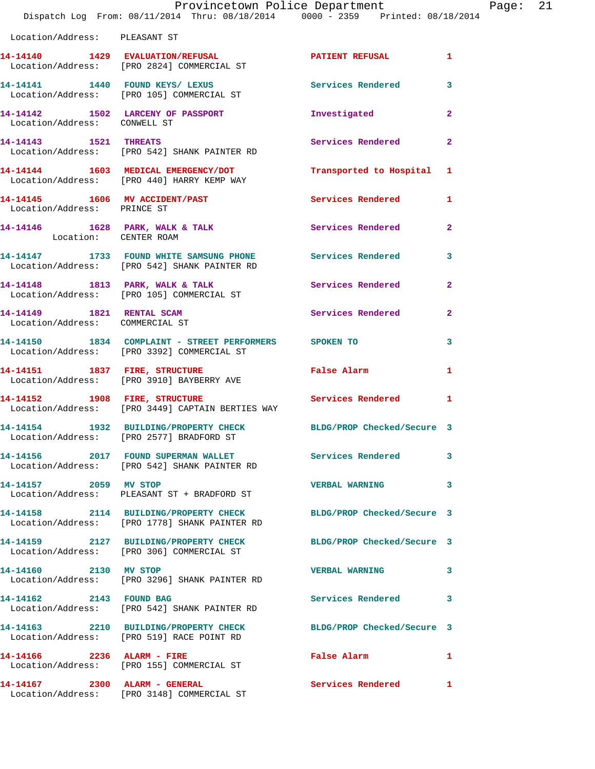|                                 | Provincetown Police Department Fage: 21<br>Dispatch Log From: 08/11/2014 Thru: 08/18/2014   0000 - 2359   Printed: 08/18/2014   |                           |              |  |
|---------------------------------|---------------------------------------------------------------------------------------------------------------------------------|---------------------------|--------------|--|
| Location/Address: PLEASANT ST   |                                                                                                                                 |                           |              |  |
|                                 | 14-14140   1429   EVALUATION/REFUSAL   PATIENT REFUSAL   1<br>Location/Address: [PRO 2824] COMMERCIAL ST                        |                           |              |  |
|                                 | 14-14141 1440 FOUND KEYS/ LEXUS Services Rendered 3<br>Location/Address: [PRO 105] COMMERCIAL ST                                |                           |              |  |
|                                 | 14-14142 1502 LARCENY OF PASSPORT 1nvestigated<br>Location/Address: CONWELL ST                                                  |                           | $\mathbf{2}$ |  |
|                                 | 14-14143 1521 THREATS<br>Location/Address: [PRO 542] SHANK PAINTER RD                                                           | Services Rendered 2       |              |  |
|                                 | 14-14144 1603 MEDICAL EMERGENCY/DOT<br>Location/Address: [PRO 440] HARRY KEMP WAY                                               | Transported to Hospital 1 |              |  |
| Location/Address: PRINCE ST     | 14-14145 1606 MV ACCIDENT/PAST Services Rendered 1                                                                              |                           |              |  |
| Location: CENTER ROAM           | 14-14146 1628 PARK, WALK & TALK 1997 Services Rendered 2                                                                        |                           |              |  |
|                                 | 14-14147 1733 FOUND WHITE SAMSUNG PHONE Services Rendered 3<br>Location/Address: [PRO 542] SHANK PAINTER RD                     |                           |              |  |
|                                 | 14-14148 1813 PARK, WALK & TALK 5 Services Rendered 2<br>Location/Address: [PRO 105] COMMERCIAL ST                              |                           |              |  |
| Location/Address: COMMERCIAL ST | 14-14149 1821 RENTAL SCAM                                                                                                       | Services Rendered 2       |              |  |
|                                 | 14-14150 1834 COMPLAINT - STREET PERFORMERS SPOKEN TO<br>Location/Address: [PRO 3392] COMMERCIAL ST                             |                           | $\mathbf{3}$ |  |
|                                 | 14-14151 1837 FIRE, STRUCTURE<br>Location/Address: [PRO 3910] BAYBERRY AVE                                                      | False Alarm               | $\mathbf{1}$ |  |
|                                 | 14-14152 1908 FIRE, STRUCTURE 1981 1908 FIRE, STRUCTURE SERVICES Rendered 1<br>Location/Address: [PRO 3449] CAPTAIN BERTIES WAY |                           |              |  |
|                                 | 14-14154 1932 BUILDING/PROPERTY CHECK BLDG/PROP Checked/Secure 3<br>Location/Address: [PRO 2577] BRADFORD ST                    |                           |              |  |
|                                 | 14-14156 2017 FOUND SUPERMAN WALLET Services Rendered 3<br>Location/Address: [PRO 542] SHANK PAINTER RD                         |                           |              |  |
| 14-14157 2059 MV STOP           | Location/Address: PLEASANT ST + BRADFORD ST                                                                                     | VERBAL WARNING 3          |              |  |
|                                 | 14-14158 2114 BUILDING/PROPERTY CHECK BLDG/PROP Checked/Secure 3<br>Location/Address: [PRO 1778] SHANK PAINTER RD               |                           |              |  |
|                                 | 14-14159 2127 BUILDING/PROPERTY CHECK BLDG/PROP Checked/Secure 3<br>Location/Address: [PRO 306] COMMERCIAL ST                   |                           |              |  |
| 14-14160 2130 MV STOP           | Location/Address: [PRO 3296] SHANK PAINTER RD                                                                                   | VERBAL WARNING 3          |              |  |
|                                 | 14-14162 2143 FOUND BAG<br>Location/Address: [PRO 542] SHANK PAINTER RD                                                         | Services Rendered 3       |              |  |
|                                 | 14-14163 2210 BUILDING/PROPERTY CHECK BLDG/PROP Checked/Secure 3<br>Location/Address: [PRO 519] RACE POINT RD                   |                           |              |  |
|                                 | 14-14166 2236 ALARM - FIRE<br>Location/Address: [PRO 155] COMMERCIAL ST                                                         | False Alarm 1             |              |  |
|                                 | 14-14167 2300 ALARM - GENERAL<br>Location/Address: [PRO 3148] COMMERCIAL ST                                                     | Services Rendered 1       |              |  |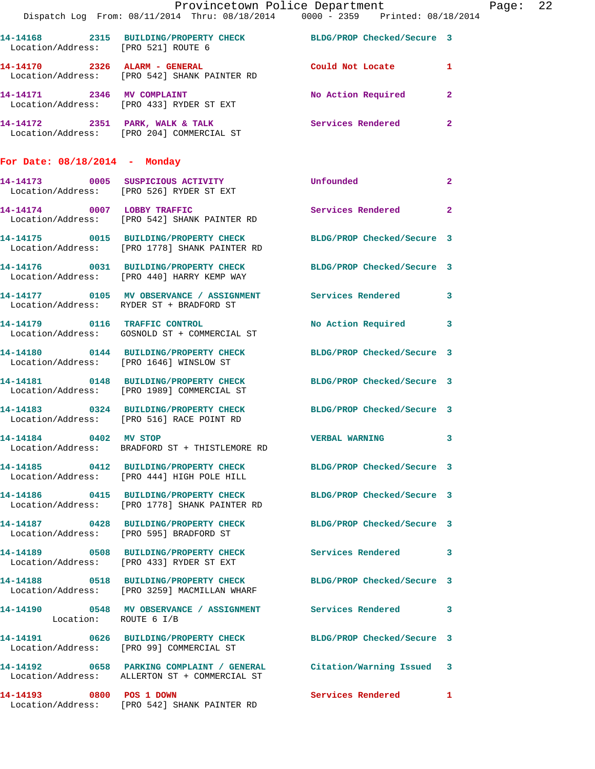|                                     | Provincetown Police Department Page: 22<br>Dispatch Log From: 08/11/2014 Thru: 08/18/2014   0000 - 2359   Printed: 08/18/2014 |                      |                |  |
|-------------------------------------|-------------------------------------------------------------------------------------------------------------------------------|----------------------|----------------|--|
| Location/Address: [PRO 521] ROUTE 6 | 14-14168 2315 BUILDING/PROPERTY CHECK BLDG/PROP Checked/Secure 3                                                              |                      |                |  |
|                                     | 14-14170 2326 ALARM - GENERAL Could Not Locate 1<br>Location/Address: [PRO 542] SHANK PAINTER RD                              |                      |                |  |
|                                     | 14-14171 2346 MV COMPLAINT<br>Location/Address: [PRO 433] RYDER ST EXT                                                        | No Action Required 2 |                |  |
|                                     | 14-14172 2351 PARK, WALK & TALK Services Rendered 2<br>Location/Address: [PRO 204] COMMERCIAL ST                              |                      |                |  |
| For Date: $08/18/2014$ - Monday     |                                                                                                                               |                      |                |  |
|                                     | 14-14173 0005 SUSPICIOUS ACTIVITY Unfounded<br>Location/Address: [PRO 526] RYDER ST EXT                                       |                      | $\overline{2}$ |  |
|                                     | 14-14174 0007 LOBBY TRAFFIC<br>Location/Address: [PRO 542] SHANK PAINTER RD                                                   | Services Rendered 2  |                |  |
|                                     | 14-14175 0015 BUILDING/PROPERTY CHECK BLDG/PROP Checked/Secure 3<br>Location/Address: [PRO 1778] SHANK PAINTER RD             |                      |                |  |
|                                     | 14-14176 0031 BUILDING/PROPERTY CHECK BLDG/PROP Checked/Secure 3<br>Location/Address: [PRO 440] HARRY KEMP WAY                |                      |                |  |
|                                     | 14-14177 0105 MV OBSERVANCE / ASSIGNMENT Services Rendered 3<br>Location/Address: RYDER ST + BRADFORD ST                      |                      |                |  |
|                                     | 14-14179 0116 TRAFFIC CONTROL<br>Location/Address: GOSNOLD ST + COMMERCIAL ST                                                 | No Action Required 3 |                |  |
|                                     | 14-14180 0144 BUILDING/PROPERTY CHECK BLDG/PROP Checked/Secure 3<br>Location/Address: [PRO 1646] WINSLOW ST                   |                      |                |  |
|                                     | 14-14181 0148 BUILDING/PROPERTY CHECK BLDG/PROP Checked/Secure 3<br>Location/Address: [PRO 1989] COMMERCIAL ST                |                      |                |  |
|                                     | 14-14183 0324 BUILDING/PROPERTY CHECK BLDG/PROP Checked/Secure 3<br>Location/Address: [PRO 516] RACE POINT RD                 |                      |                |  |
| 14-14184 0402 MV STOP               | Location/Address: BRADFORD ST + THISTLEMORE RD                                                                                | VERBAL WARNING 3     |                |  |
|                                     | 14-14185 0412 BUILDING/PROPERTY CHECK BLDG/PROP Checked/Secure 3<br>Location/Address: [PRO 444] HIGH POLE HILL                |                      |                |  |
|                                     | 14-14186 0415 BUILDING/PROPERTY CHECK BLDG/PROP Checked/Secure 3<br>Location/Address: [PRO 1778] SHANK PAINTER RD             |                      |                |  |
|                                     | 14-14187 0428 BUILDING/PROPERTY CHECK BLDG/PROP Checked/Secure 3<br>Location/Address: [PRO 595] BRADFORD ST                   |                      |                |  |
|                                     | 14-14189 0508 BUILDING/PROPERTY CHECK Services Rendered 3<br>Location/Address: [PRO 433] RYDER ST EXT                         |                      |                |  |
|                                     | 14-14188 0518 BUILDING/PROPERTY CHECK BLDG/PROP Checked/Secure 3<br>Location/Address: [PRO 3259] MACMILLAN WHARF              |                      |                |  |
| Location: ROUTE 6 I/B               | 14-14190 0548 MV OBSERVANCE / ASSIGNMENT Services Rendered 3                                                                  |                      |                |  |
|                                     | 14-14191 0626 BUILDING/PROPERTY CHECK BLDG/PROP Checked/Secure 3<br>Location/Address: [PRO 99] COMMERCIAL ST                  |                      |                |  |
|                                     | 14-14192 0658 PARKING COMPLAINT / GENERAL Citation/Warning Issued 3<br>Location/Address: ALLERTON ST + COMMERCIAL ST          |                      |                |  |
|                                     | 14-14193 0800 POS 1 DOWN<br>Location/Address: [PRO 542] SHANK PAINTER RD                                                      | Services Rendered 1  |                |  |